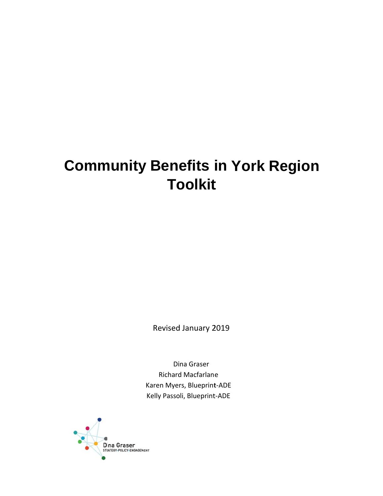## **Community Benefits in York Region To oolkit t**

Revised d January 2 2019

Dina Graser Richard d Macfarlan e Karen Myers, Blueprint-ADE Kelly Passoli, Blueprint-ADE

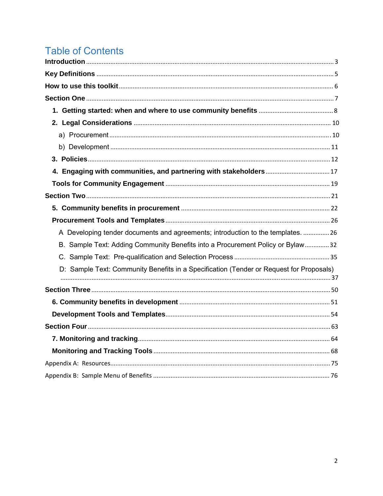## **Table of Contents**

| A Developing tender documents and agreements; introduction to the templates.  26        |
|-----------------------------------------------------------------------------------------|
| B. Sample Text: Adding Community Benefits into a Procurement Policy or Bylaw32          |
|                                                                                         |
| D: Sample Text: Community Benefits in a Specification (Tender or Request for Proposals) |
|                                                                                         |
|                                                                                         |
|                                                                                         |
|                                                                                         |
|                                                                                         |
|                                                                                         |
|                                                                                         |
|                                                                                         |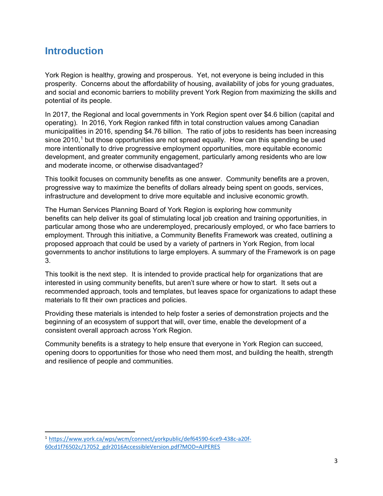## **Introduction**

York Region is healthy, growing and prosperous. Yet, not everyone is being included in this prosperity. Concerns about the affordability of housing, availability of jobs for young graduates, and social and economic barriers to mobility prevent York Region from maximizing the skills and potential of its people.

In 2017, the Regional and local governments in York Region spent over \$4.6 billion (capital and operating). In 2016, York Region ranked fifth in total construction values among Canadian municipalities in 2016, spending \$4.76 billion. The ratio of jobs to residents has been increasing since 2010,<sup>1</sup> but those opportunities are not spread equally. How can this spending be used more intentionally to drive progressive employment opportunities, more equitable economic development, and greater community engagement, particularly among residents who are low and moderate income, or otherwise disadvantaged?

This toolkit focuses on community benefits as one answer. Community benefits are a proven, progressive way to maximize the benefits of dollars already being spent on goods, services, infrastructure and development to drive more equitable and inclusive economic growth.

The Human Services Planning Board of York Region is exploring how community benefits can help deliver its goal of stimulating local job creation and training opportunities, in particular among those who are underemployed, precariously employed, or who face barriers to employment. Through this initiative, a Community Benefits Framework was created, outlining a proposed approach that could be used by a variety of partners in York Region, from local governments to anchor institutions to large employers. A summary of the Framework is on page 3.

This toolkit is the next step. It is intended to provide practical help for organizations that are interested in using community benefits, but aren't sure where or how to start. It sets out a recommended approach, tools and templates, but leaves space for organizations to adapt these materials to fit their own practices and policies.

Providing these materials is intended to help foster a series of demonstration projects and the beginning of an ecosystem of support that will, over time, enable the development of a consistent overall approach across York Region.

Community benefits is a strategy to help ensure that everyone in York Region can succeed, opening doors to opportunities for those who need them most, and building the health, strength and resilience of people and communities.

<sup>1</sup> https://www.york.ca/wps/wcm/connect/yorkpublic/def64590‐6ce9‐438c‐a20f‐ 60cd1f76502c/17052\_gdr2016AccessibleVersion.pdf?MOD=AJPERES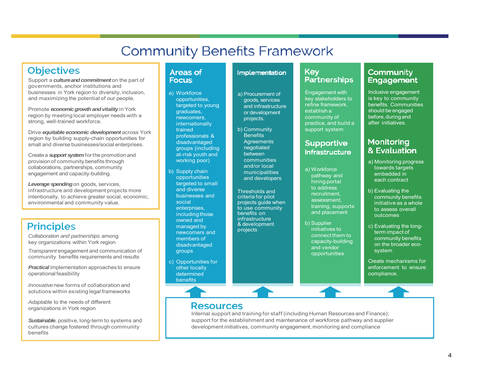## **Community Benefits Framework**

## **Objectives**

Support a *culture and commitment* on the part of governments, anchor institutions and businesses in York region to diversity, inclusion, and maximizing the potential of our people.

Promote *economicgrowth andvitality* in York region by meeting local employer needs with <sup>a</sup> strong, well-trained workforce.

Drive *equitable economic development* across York region by building supply-chain opportunities for small and diverse businesses/social enterprises.

Createa *support system*for the promotionand provisionof community benefits through collaborations, partnerships, community engagement and capacity-building.

*Leverage spending*on goods, services, infrastructure and development projects more intentionally, to achieve greater social, economic, environmental and community value.

## **Principles**

*Collaboration and partnerships* among key organizations within York region

*Transparent* engagement and communication of community benefits requirements and results

*Practical* implementation approaches to ensure operational feasibility

*Innovative*new forms of collaboration and solutions within existing legal frameworks

*Adaptab*le to the needs of different organizations in York region

*Sustainable*, positive, long-term to systems and cultures change fostered through community benefits

#### **Areas of Focus**

a) Workforce opportunities, targeted to young graduates, newcomers, **internationally** trainedprofessionals & disadvantaged groups (including at-risk youth and working poor)

- b) Supply chain opportunities targeted to small and diverse businesses and socialenterprises, including those owned and managed by newcomers and members of disadvantaged groups
- c) Opportunities for other locally determinedbenefits

#### Implementation

a) Procurement of goods, services and infrastructure or development projects.

b) Community **Benefits Agreements** negotiated between communities and/or local municipalities and developers

Thresholds andcriteria for pilot<br>projects quide v projects guide when to use community benefits on infrastructure& development<br>proiects projects

#### **Kev Partnerships**

Engagement with key stakeholders torefine framework, establish a<br>community community of<br>practice, and **l** practice, and build a<br>sunnort\_system support system

#### **Supportive Infrastructure**

a) Workforce pathway and hiring portal to address recruitment, assessment, training, supports and placement

b) Supplier initiatives to connect them to capacity-building and vendor opportunities

#### Community **Engagement**

Inclusive engagement is key to community benefits. Communitiesshould be engaged before, during and after initiatives.

#### Monitoring & Evaluation

- a) Monitoring progress towards targets embedded in each contract
- b) Evaluating the community benefits initiative as a whole<br>to assess overall to assess overall outcomes
- c) Evaluating the longterm impact of community benefits on the broader ecosystem

Create mechanisms for enforcement to ensure compliance.

### **Resources**

Internal support and training for staff (including Human Resources and Finance); support for the establishment and maintenance of workforce pathway and supplier development initiatives, community engagement, monitoring and compliance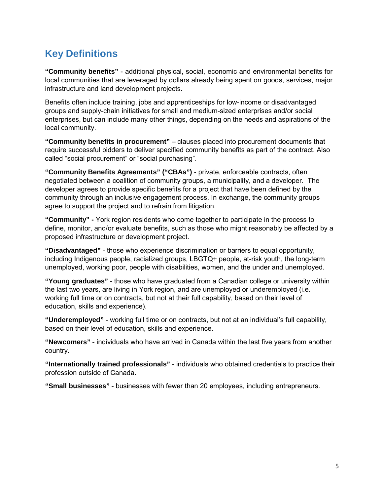## **Key Definitions**

**"Community benefits"** - additional physical, social, economic and environmental benefits for local communities that are leveraged by dollars already being spent on goods, services, major infrastructure and land development projects.

Benefits often include training, jobs and apprenticeships for low-income or disadvantaged groups and supply-chain initiatives for small and medium-sized enterprises and/or social enterprises, but can include many other things, depending on the needs and aspirations of the local community.

**"Community benefits in procurement"** – clauses placed into procurement documents that require successful bidders to deliver specified community benefits as part of the contract. Also called "social procurement" or "social purchasing".

**"Community Benefits Agreements" ("CBAs")** - private, enforceable contracts, often negotiated between a coalition of community groups, a municipality, and a developer. The developer agrees to provide specific benefits for a project that have been defined by the community through an inclusive engagement process. In exchange, the community groups agree to support the project and to refrain from litigation.

**"Community" -** York region residents who come together to participate in the process to define, monitor, and/or evaluate benefits, such as those who might reasonably be affected by a proposed infrastructure or development project.

**"Disadvantaged"** - those who experience discrimination or barriers to equal opportunity, including Indigenous people, racialized groups, LBGTQ+ people, at-risk youth, the long-term unemployed, working poor, people with disabilities, women, and the under and unemployed.

**"Young graduates"** - those who have graduated from a Canadian college or university within the last two years, are living in York region, and are unemployed or underemployed (i.e. working full time or on contracts, but not at their full capability, based on their level of education, skills and experience).

**"Underemployed"** - working full time or on contracts, but not at an individual's full capability, based on their level of education, skills and experience.

**"Newcomers"** - individuals who have arrived in Canada within the last five years from another country.

**"Internationally trained professionals"** - individuals who obtained credentials to practice their profession outside of Canada.

**"Small businesses"** - businesses with fewer than 20 employees, including entrepreneurs.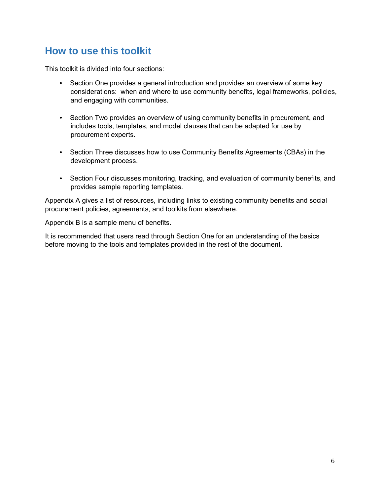## **How to use this toolkit**

This toolkit is divided into four sections:

- Section One provides a general introduction and provides an overview of some key considerations: when and where to use community benefits, legal frameworks, policies, and engaging with communities.
- Section Two provides an overview of using community benefits in procurement, and includes tools, templates, and model clauses that can be adapted for use by procurement experts.
- Section Three discusses how to use Community Benefits Agreements (CBAs) in the development process.
- Section Four discusses monitoring, tracking, and evaluation of community benefits, and provides sample reporting templates.

Appendix A gives a list of resources, including links to existing community benefits and social procurement policies, agreements, and toolkits from elsewhere.

Appendix B is a sample menu of benefits.

It is recommended that users read through Section One for an understanding of the basics before moving to the tools and templates provided in the rest of the document.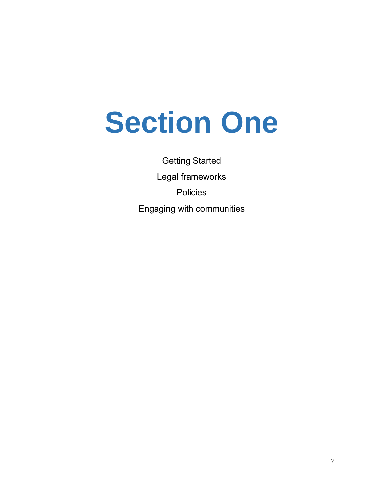# **Section One**

Getting Started Legal frameworks Policies Engaging with communities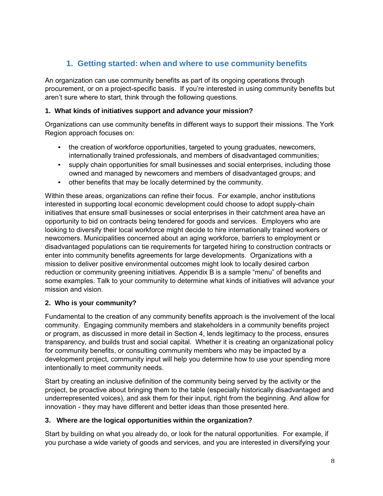### **1. Getting started: when and where to use community benefits**

An organization can use community benefits as part of its ongoing operations through procurement, or on a project-specific basis. If you're interested in using community benefits but aren't sure where to start, think through the following questions.

#### **1. What kinds of initiatives support and advance your mission?**

Organizations can use community benefits in different ways to support their missions. The York Region approach focuses on:

- the creation of workforce opportunities, targeted to young graduates, newcomers, internationally trained professionals, and members of disadvantaged communities;
- supply chain opportunities for small businesses and social enterprises, including those owned and managed by newcomers and members of disadvantaged groups; and
- other benefits that may be locally determined by the community.

Within these areas, organizations can refine their focus. For example, anchor institutions interested in supporting local economic development could choose to adopt supply-chain initiatives that ensure small businesses or social enterprises in their catchment area have an opportunity to bid on contracts being tendered for goods and services. Employers who are looking to diversify their local workforce might decide to hire internationally trained workers or newcomers. Municipalities concerned about an aging workforce, barriers to employment or disadvantaged populations can tie requirements for targeted hiring to construction contracts or enter into community benefits agreements for large developments. Organizations with a mission to deliver positive environmental outcomes might look to locally desired carbon reduction or community greening initiatives. Appendix B is a sample "menu" of benefits and some examples. Talk to your community to determine what kinds of initiatives will advance your mission and vision.

#### **2. Who is your community?**

Fundamental to the creation of any community benefits approach is the involvement of the local community. Engaging community members and stakeholders in a community benefits project or program, as discussed in more detail in Section 4, lends legitimacy to the process, ensures transparency, and builds trust and social capital. Whether it is creating an organizational policy for community benefits, or consulting community members who may be impacted by a development project, community input will help you determine how to use your spending more intentionally to meet community needs.

Start by creating an inclusive definition of the community being served by the activity or the project, be proactive about bringing them to the table (especially historically disadvantaged and underrepresented voices), and ask them for their input, right from the beginning. And allow for innovation - they may have different and better ideas than those presented here.

#### **3. Where are the logical opportunities within the organization?**

Start by building on what you already do, or look for the natural opportunities. For example, if you purchase a wide variety of goods and services, and you are interested in diversifying your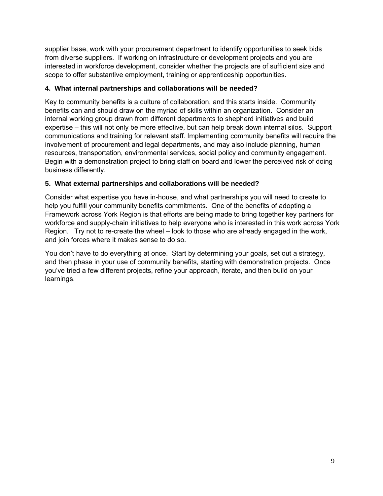supplier base, work with your procurement department to identify opportunities to seek bids from diverse suppliers. If working on infrastructure or development projects and you are interested in workforce development, consider whether the projects are of sufficient size and scope to offer substantive employment, training or apprenticeship opportunities.

#### **4. What internal partnerships and collaborations will be needed?**

Key to community benefits is a culture of collaboration, and this starts inside. Community benefits can and should draw on the myriad of skills within an organization. Consider an internal working group drawn from different departments to shepherd initiatives and build expertise – this will not only be more effective, but can help break down internal silos. Support communications and training for relevant staff. Implementing community benefits will require the involvement of procurement and legal departments, and may also include planning, human resources, transportation, environmental services, social policy and community engagement. Begin with a demonstration project to bring staff on board and lower the perceived risk of doing business differently.

#### **5. What external partnerships and collaborations will be needed?**

Consider what expertise you have in-house, and what partnerships you will need to create to help you fulfill your community benefits commitments. One of the benefits of adopting a Framework across York Region is that efforts are being made to bring together key partners for workforce and supply-chain initiatives to help everyone who is interested in this work across York Region. Try not to re-create the wheel – look to those who are already engaged in the work, and join forces where it makes sense to do so.

You don't have to do everything at once. Start by determining your goals, set out a strategy, and then phase in your use of community benefits, starting with demonstration projects. Once you've tried a few different projects, refine your approach, iterate, and then build on your learnings.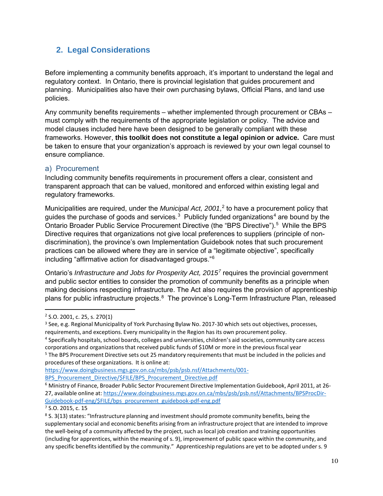#### **2. Legal Considerations**

Before implementing a community benefits approach, it's important to understand the legal and regulatory context. In Ontario, there is provincial legislation that guides procurement and planning. Municipalities also have their own purchasing bylaws, Official Plans, and land use policies.

Any community benefits requirements – whether implemented through procurement or CBAs – must comply with the requirements of the appropriate legislation or policy. The advice and model clauses included here have been designed to be generally compliant with these frameworks. However, **this toolkit does not constitute a legal opinion or advice.** Care must be taken to ensure that your organization's approach is reviewed by your own legal counsel to ensure compliance.

#### a) Procurement

Including community benefits requirements in procurement offers a clear, consistent and transparent approach that can be valued, monitored and enforced within existing legal and regulatory frameworks.

Municipalities are required, under the *Municipal Act, 2001*, 2 to have a procurement policy that guides the purchase of goods and services.<sup>3</sup> Publicly funded organizations<sup>4</sup> are bound by the Ontario Broader Public Service Procurement Directive (the "BPS Directive").<sup>5</sup> While the BPS Directive requires that organizations not give local preferences to suppliers (principle of nondiscrimination), the province's own Implementation Guidebook notes that such procurement practices can be allowed where they are in service of a "legitimate objective", specifically including "affirmative action for disadvantaged groups."6

Ontario's *Infrastructure and Jobs for Prosperity Act, 2015<sup>7</sup>*requires the provincial government and public sector entities to consider the promotion of community benefits as a principle when making decisions respecting infrastructure. The Act also requires the provision of apprenticeship plans for public infrastructure projects.<sup>8</sup> The province's Long-Term Infrastructure Plan, released

https://www.doingbusiness.mgs.gov.on.ca/mbs/psb/psb.nsf/Attachments/001‐

BPS\_Procurement\_Directive/\$FILE/BPS\_Procurement\_Directive.pdf

<sup>2</sup> S.O. 2001, c. 25, s. 270(1)

<sup>&</sup>lt;sup>3</sup> See, e.g. Regional Municipality of York Purchasing Bylaw No. 2017-30 which sets out objectives, processes, requirements, and exceptions. Every municipality in the Region has its own procurement policy.

<sup>4</sup> Specifically hospitals, school boards, colleges and universities, children's aid societies, community care access corporations and organizations that received public funds of \$10M or more in the previous fiscal year

<sup>5</sup> The BPS Procurement Directive sets out 25 mandatory requirementsthat must be included in the policies and procedures of these organizations. It is online at:

<sup>6</sup> Ministry of Finance, Broader Public Sector Procurement Directive Implementation Guidebook, April 2011, at 26‐ 27, available online at: https://www.doingbusiness.mgs.gov.on.ca/mbs/psb/psb.nsf/Attachments/BPSProcDir‐ Guidebook‐pdf‐eng/\$FILE/bps\_procurement\_guidebook‐pdf‐eng.pdf

<sup>7</sup> S.O. 2015, c. 15

<sup>&</sup>lt;sup>8</sup> S. 3(13) states: "Infrastructure planning and investment should promote community benefits, being the supplementary social and economic benefits arising from an infrastructure project that are intended to improve the well-being of a community affected by the project, such as local job creation and training opportunities (including for apprentices, within the meaning of s. 9), improvement of public space within the community, and any specific benefits identified by the community." Apprenticeship regulations are yet to be adopted under s. 9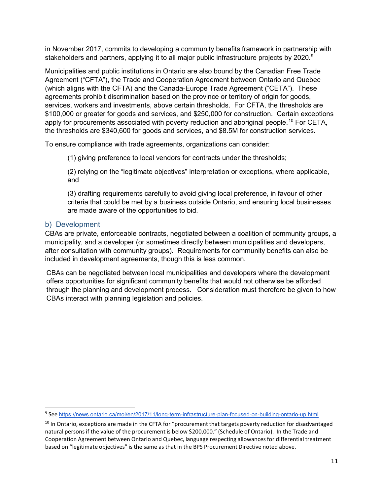in November 2017, commits to developing a community benefits framework in partnership with stakeholders and partners, applying it to all major public infrastructure projects by 2020.<sup>9</sup>

Municipalities and public institutions in Ontario are also bound by the Canadian Free Trade Agreement ("CFTA"), the Trade and Cooperation Agreement between Ontario and Quebec (which aligns with the CFTA) and the Canada-Europe Trade Agreement ("CETA"). These agreements prohibit discrimination based on the province or territory of origin for goods, services, workers and investments, above certain thresholds. For CFTA, the thresholds are \$100,000 or greater for goods and services, and \$250,000 for construction. Certain exceptions apply for procurements associated with poverty reduction and aboriginal people.<sup>10</sup> For CETA, the thresholds are \$340,600 for goods and services, and \$8.5M for construction services.

To ensure compliance with trade agreements, organizations can consider:

(1) giving preference to local vendors for contracts under the thresholds;

(2) relying on the "legitimate objectives" interpretation or exceptions, where applicable, and

(3) drafting requirements carefully to avoid giving local preference, in favour of other criteria that could be met by a business outside Ontario, and ensuring local businesses are made aware of the opportunities to bid.

#### b) Development

CBAs are private, enforceable contracts, negotiated between a coalition of community groups, a municipality, and a developer (or sometimes directly between municipalities and developers, after consultation with community groups). Requirements for community benefits can also be included in development agreements, though this is less common.

CBAs can be negotiated between local municipalities and developers where the development offers opportunities for significant community benefits that would not otherwise be afforded through the planning and development process. Consideration must therefore be given to how CBAs interact with planning legislation and policies.

<sup>9</sup> See https://news.ontario.ca/moi/en/2017/11/long-term-infrastructure-plan-focused-on-building-ontario-up.html

<sup>&</sup>lt;sup>10</sup> In Ontario, exceptions are made in the CFTA for "procurement that targets poverty reduction for disadvantaged natural personsif the value of the procurement is below \$200,000." (Schedule of Ontario). In the Trade and Cooperation Agreement between Ontario and Quebec, language respecting allowancesfor differential treatment based on "legitimate objectives" is the same as that in the BPS Procurement Directive noted above.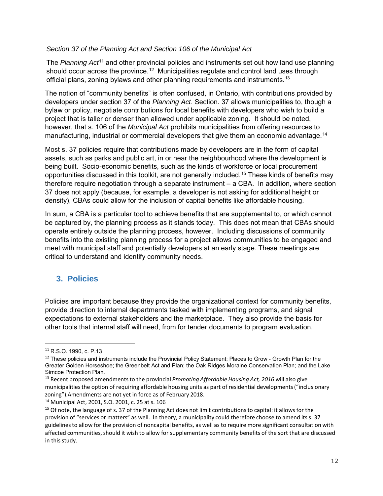#### *Section 37 of the Planning Act and Section 106 of the Municipal Act*

The *Planning Act*11 and other provincial policies and instruments set out how land use planning should occur across the province.<sup>12</sup> Municipalities regulate and control land uses through official plans, zoning bylaws and other planning requirements and instruments.<sup>13</sup>

The notion of "community benefits" is often confused, in Ontario, with contributions provided by developers under section 37 of the *Planning Act*. Section. 37 allows municipalities to, though a bylaw or policy, negotiate contributions for local benefits with developers who wish to build a project that is taller or denser than allowed under applicable zoning. It should be noted, however, that s. 106 of the *Municipal Act* prohibits municipalities from offering resources to manufacturing, industrial or commercial developers that give them an economic advantage.<sup>14</sup>

Most s. 37 policies require that contributions made by developers are in the form of capital assets, such as parks and public art, in or near the neighbourhood where the development is being built. Socio-economic benefits, such as the kinds of workforce or local procurement opportunities discussed in this toolkit, are not generally included.15 These kinds of benefits may therefore require negotiation through a separate instrument – a CBA. In addition, where section 37 does not apply (because, for example, a developer is not asking for additional height or density), CBAs could allow for the inclusion of capital benefits like affordable housing.

In sum, a CBA is a particular tool to achieve benefits that are supplemental to, or which cannot be captured by, the planning process as it stands today. This does not mean that CBAs should operate entirely outside the planning process, however. Including discussions of community benefits into the existing planning process for a project allows communities to be engaged and meet with municipal staff and potentially developers at an early stage. These meetings are critical to understand and identify community needs.

#### **3. Policies**

Policies are important because they provide the organizational context for community benefits, provide direction to internal departments tasked with implementing programs, and signal expectations to external stakeholders and the marketplace. They also provide the basis for other tools that internal staff will need, from for tender documents to program evaluation.

<sup>11</sup> R.S.O. 1990, c. P.13

 $12$  These policies and instruments include the Provincial Policy Statement; Places to Grow - Growth Plan for the Greater Golden Horseshoe; the Greenbelt Act and Plan; the Oak Ridges Moraine Conservation Plan; and the Lake Simcoe Protection Plan.

<sup>13</sup> Recent proposed amendmentsto the provincial *Promoting Affordable Housing Act, 2016* will also give municipalitiesthe option of requiring affordable housing units as part of residential developments("inclusionary zoning").Amendments are not yet in force as of February 2018.

<sup>14</sup> Municipal Act, 2001, S.O. 2001, c. 25 at s. 106

<sup>&</sup>lt;sup>15</sup> Of note, the language of s. 37 of the Planning Act does not limit contributions to capital: it allows for the provision of "services or matters" as well. In theory, a municipality could therefore choose to amend its s. 37 guidelinesto allow for the provision of noncapital benefits, as well as to require more significant consultation with affected communities, should it wish to allow for supplementary community benefits of the sort that are discussed in this study.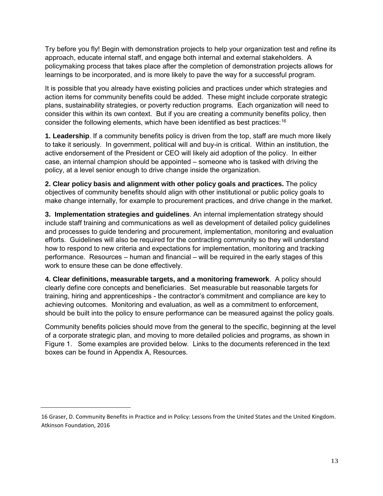Try before you fly! Begin with demonstration projects to help your organization test and refine its approach, educate internal staff, and engage both internal and external stakeholders. A policymaking process that takes place after the completion of demonstration projects allows for learnings to be incorporated, and is more likely to pave the way for a successful program.

It is possible that you already have existing policies and practices under which strategies and action items for community benefits could be added. These might include corporate strategic plans, sustainability strategies, or poverty reduction programs. Each organization will need to consider this within its own context. But if you are creating a community benefits policy, then consider the following elements, which have been identified as best practices:<sup>16</sup>

**1. Leadership**. If a community benefits policy is driven from the top, staff are much more likely to take it seriously. In government, political will and buy-in is critical. Within an institution, the active endorsement of the President or CEO will likely aid adoption of the policy. In either case, an internal champion should be appointed – someone who is tasked with driving the policy, at a level senior enough to drive change inside the organization.

**2. Clear policy basis and alignment with other policy goals and practices.** The policy objectives of community benefits should align with other institutional or public policy goals to make change internally, for example to procurement practices, and drive change in the market.

**3. Implementation strategies and guidelines**. An internal implementation strategy should include staff training and communications as well as development of detailed policy guidelines and processes to guide tendering and procurement, implementation, monitoring and evaluation efforts. Guidelines will also be required for the contracting community so they will understand how to respond to new criteria and expectations for implementation, monitoring and tracking performance. Resources – human and financial – will be required in the early stages of this work to ensure these can be done effectively.

**4. Clear definitions, measurable targets, and a monitoring framework**. A policy should clearly define core concepts and beneficiaries. Set measurable but reasonable targets for training, hiring and apprenticeships - the contractor's commitment and compliance are key to achieving outcomes. Monitoring and evaluation, as well as a commitment to enforcement, should be built into the policy to ensure performance can be measured against the policy goals.

Community benefits policies should move from the general to the specific, beginning at the level of a corporate strategic plan, and moving to more detailed policies and programs, as shown in Figure 1. Some examples are provided below. Links to the documents referenced in the text boxes can be found in Appendix A, Resources.

<sup>16</sup> Graser, D. Community Benefits in Practice and in Policy: Lessons from the United States and the United Kingdom. Atkinson Foundation, 2016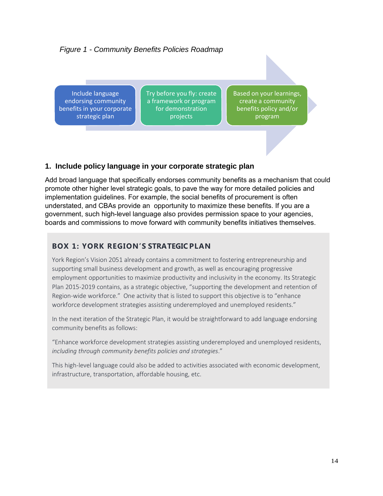#### *Figure 1 - Community Benefits Policies Roadmap*

Include language endorsing community benefits in your corporate strategic plan

Try before you fly: create a framework or program for demonstration projects

Based on your learnings, create a community benefits policy and/or program

#### **1. Include policy language in your corporate strategic plan**

Add broad language that specifically endorses community benefits as a mechanism that could promote other higher level strategic goals, to pave the way for more detailed policies and implementation guidelines. For example, the social benefits of procurement is often understated, and CBAs provide an opportunity to maximize these benefits. If you are a government, such high-level language also provides permission space to your agencies, boards and commissions to move forward with community benefits initiatives themselves.

#### **BO X 1 : Y O RK R E GI O N ' S STRATEGIC P L AN**

York Region's Vision 2051 already contains a commitment to fostering entrepreneurship and supporting small business development and growth, as well as encouraging progressive employment opportunities to maximize productivity and inclusivity in the economy. Its Strategic Plan 2015‐2019 contains, as a strategic objective, "supporting the development and retention of Region-wide workforce." One activity that is listed to support this objective is to "enhance workforce development strategies assisting underemployed and unemployed residents."

In the next iteration of the Strategic Plan, it would be straightforward to add language endorsing community benefits as follows:

"Enhance workforce development strategies assisting underemployed and unemployed residents, *including through community benefits policies and strategies*."

This high‐level language could also be added to activities associated with economic development, infrastructure, transportation, affordable housing, etc.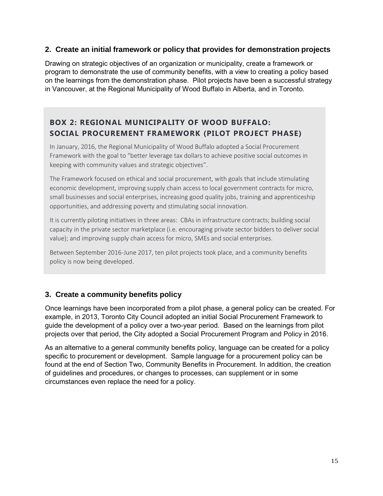#### **2. Create an initial framework or policy that provides for demonstration projects**

Drawing on strategic objectives of an organization or municipality, create a framework or program to demonstrate the use of community benefits, with a view to creating a policy based on the learnings from the demonstration phase. Pilot projects have been a successful strategy in Vancouver, at the Regional Municipality of Wood Buffalo in Alberta, and in Toronto.

#### **BOX 2: REGIONAL MUNICIPALITY OF WOOD BUFFALO: SOCIAL PROCUREMENT FRAMEWORK (PILOT PROJECT PHASE)**

In January, 2016, the Regional Municipality of Wood Buffalo adopted a Social Procurement Framework with the goal to "better leverage tax dollars to achieve positive social outcomes in keeping with community values and strategic objectives".

The Framework focused on ethical and social procurement, with goals that include stimulating economic development, improving supply chain access to local government contracts for micro, small businesses and social enterprises, increasing good quality jobs, training and apprenticeship opportunities, and addressing poverty and stimulating social innovation.

It is currently piloting initiatives in three areas: CBAs in infrastructure contracts; building social capacity in the private sector marketplace (i.e. encouraging private sector bidders to deliver social value); and improving supply chain access for micro, SMEs and social enterprises.

Between September 2016‐June 2017, ten pilot projects took place, and a community benefits policy is now being developed.

#### **3. Create a community benefits policy**

Once learnings have been incorporated from a pilot phase, a general policy can be created. For example, in 2013, Toronto City Council adopted an initial Social Procurement Framework to guide the development of a policy over a two-year period. Based on the learnings from pilot projects over that period, the City adopted a Social Procurement Program and Policy in 2016.

As an alternative to a general community benefits policy, language can be created for a policy specific to procurement or development. Sample language for a procurement policy can be found at the end of Section Two, Community Benefits in Procurement. In addition, the creation of guidelines and procedures, or changes to processes, can supplement or in some circumstances even replace the need for a policy.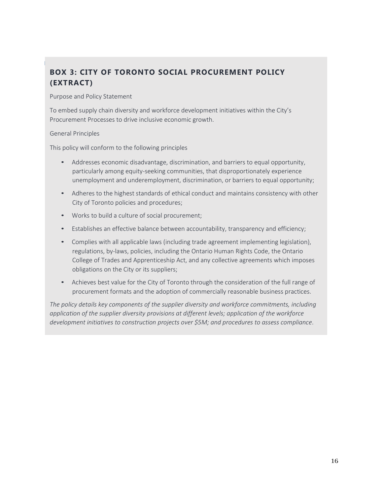## **BOX 3: CITY OF TORONTO SOCIAL PROCUREMENT POLICY ( E X TR A C T)**

#### Purpose and Policy Statement

To embed supply chain diversity and workforce development initiatives within the City's Procurement Processes to drive inclusive economic growth.

#### General Principles

This policy will conform to the following principles

- Addresses economic disadvantage, discrimination, and barriers to equal opportunity, particularly among equity-seeking communities, that disproportionately experience unemployment and underemployment, discrimination, or barriers to equal opportunity;
- Adheres to the highest standards of ethical conduct and maintains consistency with other City of Toronto policies and procedures;
- Works to build a culture of social procurement;
- Establishes an effective balance between accountability, transparency and efficiency;
- Complies with all applicable laws (including trade agreement implementing legislation), regulations, by‐laws, policies, including the Ontario Human Rights Code, the Ontario College of Trades and Apprenticeship Act, and any collective agreements which imposes obligations on the City or its suppliers;
- Achieves best value for the City of Toronto through the consideration of the full range of procurement formats and the adoption of commercially reasonable business practices.

*The policy details key components of the supplier diversity and workforce commitments, including application of the supplier diversity provisions at different levels; application of the workforce development initiatives to construction projects over \$5M; and procedures to assess compliance*.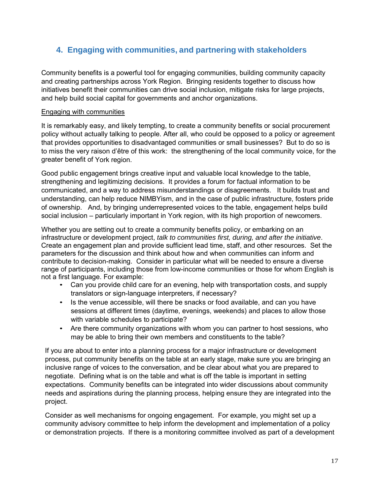#### **4. Engaging with communities, and partnering with stakeholders**

Community benefits is a powerful tool for engaging communities, building community capacity and creating partnerships across York Region. Bringing residents together to discuss how initiatives benefit their communities can drive social inclusion, mitigate risks for large projects, and help build social capital for governments and anchor organizations.

#### Engaging with communities

It is remarkably easy, and likely tempting, to create a community benefits or social procurement policy without actually talking to people. After all, who could be opposed to a policy or agreement that provides opportunities to disadvantaged communities or small businesses? But to do so is to miss the very raison d'être of this work: the strengthening of the local community voice, for the greater benefit of York region.

Good public engagement brings creative input and valuable local knowledge to the table, strengthening and legitimizing decisions. It provides a forum for factual information to be communicated, and a way to address misunderstandings or disagreements. It builds trust and understanding, can help reduce NIMBYism, and in the case of public infrastructure, fosters pride of ownership. And, by bringing underrepresented voices to the table, engagement helps build social inclusion – particularly important in York region, with its high proportion of newcomers.

Whether you are setting out to create a community benefits policy, or embarking on an infrastructure or development project, *talk to communities first, during, and after the initiative*. Create an engagement plan and provide sufficient lead time, staff, and other resources. Set the parameters for the discussion and think about how and when communities can inform and contribute to decision-making. Consider in particular what will be needed to ensure a diverse range of participants, including those from low-income communities or those for whom English is not a first language. For example:

- Can you provide child care for an evening, help with transportation costs, and supply translators or sign-language interpreters, if necessary?
- Is the venue accessible, will there be snacks or food available, and can you have sessions at different times (daytime, evenings, weekends) and places to allow those with variable schedules to participate?
- Are there community organizations with whom you can partner to host sessions, who may be able to bring their own members and constituents to the table?

If you are about to enter into a planning process for a major infrastructure or development process, put community benefits on the table at an early stage, make sure you are bringing an inclusive range of voices to the conversation, and be clear about what you are prepared to negotiate. Defining what is on the table and what is off the table is important in setting expectations. Community benefits can be integrated into wider discussions about community needs and aspirations during the planning process, helping ensure they are integrated into the project.

Consider as well mechanisms for ongoing engagement. For example, you might set up a community advisory committee to help inform the development and implementation of a policy or demonstration projects. If there is a monitoring committee involved as part of a development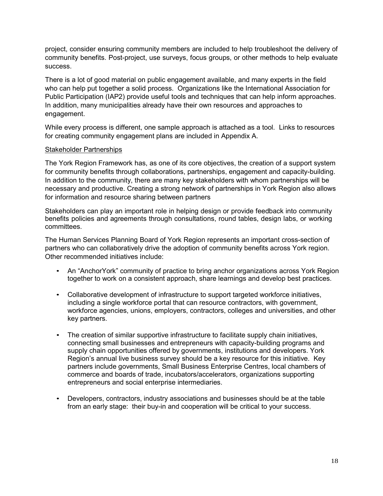project, consider ensuring community members are included to help troubleshoot the delivery of community benefits. Post-project, use surveys, focus groups, or other methods to help evaluate success.

There is a lot of good material on public engagement available, and many experts in the field who can help put together a solid process. Organizations like the International Association for Public Participation (IAP2) provide useful tools and techniques that can help inform approaches. In addition, many municipalities already have their own resources and approaches to engagement.

While every process is different, one sample approach is attached as a tool. Links to resources for creating community engagement plans are included in Appendix A.

#### Stakeholder Partnerships

The York Region Framework has, as one of its core objectives, the creation of a support system for community benefits through collaborations, partnerships, engagement and capacity-building. In addition to the community, there are many key stakeholders with whom partnerships will be necessary and productive. Creating a strong network of partnerships in York Region also allows for information and resource sharing between partners

Stakeholders can play an important role in helping design or provide feedback into community benefits policies and agreements through consultations, round tables, design labs, or working committees.

The Human Services Planning Board of York Region represents an important cross-section of partners who can collaboratively drive the adoption of community benefits across York region. Other recommended initiatives include:

- An "AnchorYork" community of practice to bring anchor organizations across York Region together to work on a consistent approach, share learnings and develop best practices.
- Collaborative development of infrastructure to support targeted workforce initiatives, including a single workforce portal that can resource contractors, with government, workforce agencies, unions, employers, contractors, colleges and universities, and other key partners.
- The creation of similar supportive infrastructure to facilitate supply chain initiatives, connecting small businesses and entrepreneurs with capacity-building programs and supply chain opportunities offered by governments, institutions and developers. York Region's annual live business survey should be a key resource for this initiative. Key partners include governments, Small Business Enterprise Centres, local chambers of commerce and boards of trade, incubators/accelerators, organizations supporting entrepreneurs and social enterprise intermediaries.
- Developers, contractors, industry associations and businesses should be at the table from an early stage: their buy-in and cooperation will be critical to your success.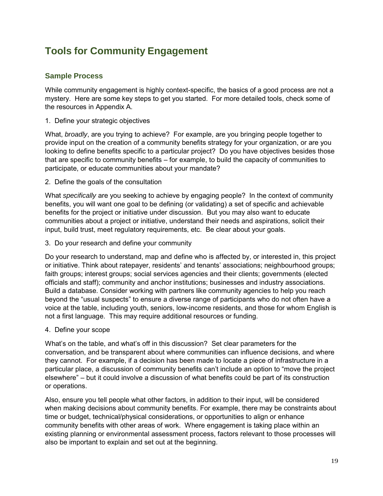## **Tools for Community Engagement**

#### **Sample Process**

While community engagement is highly context-specific, the basics of a good process are not a mystery. Here are some key steps to get you started. For more detailed tools, check some of the resources in Appendix A.

#### 1. Define your strategic objectives

What, *broadly*, are you trying to achieve? For example, are you bringing people together to provide input on the creation of a community benefits strategy for your organization, or are you looking to define benefits specific to a particular project? Do you have objectives besides those that are specific to community benefits – for example, to build the capacity of communities to participate, or educate communities about your mandate?

#### 2. Define the goals of the consultation

What *specifically* are you seeking to achieve by engaging people? In the context of community benefits, you will want one goal to be defining (or validating) a set of specific and achievable benefits for the project or initiative under discussion. But you may also want to educate communities about a project or initiative, understand their needs and aspirations, solicit their input, build trust, meet regulatory requirements, etc. Be clear about your goals.

3. Do your research and define your community

Do your research to understand, map and define who is affected by, or interested in, this project or initiative. Think about ratepayer, residents' and tenants' associations; neighbourhood groups; faith groups; interest groups; social services agencies and their clients; governments (elected officials and staff); community and anchor institutions; businesses and industry associations. Build a database. Consider working with partners like community agencies to help you reach beyond the "usual suspects" to ensure a diverse range of participants who do not often have a voice at the table, including youth, seniors, low-income residents, and those for whom English is not a first language. This may require additional resources or funding.

4. Define your scope

What's on the table, and what's off in this discussion? Set clear parameters for the conversation, and be transparent about where communities can influence decisions, and where they cannot. For example, if a decision has been made to locate a piece of infrastructure in a particular place, a discussion of community benefits can't include an option to "move the project elsewhere" – but it could involve a discussion of what benefits could be part of its construction or operations.

Also, ensure you tell people what other factors, in addition to their input, will be considered when making decisions about community benefits. For example, there may be constraints about time or budget, technical/physical considerations, or opportunities to align or enhance community benefits with other areas of work. Where engagement is taking place within an existing planning or environmental assessment process, factors relevant to those processes will also be important to explain and set out at the beginning.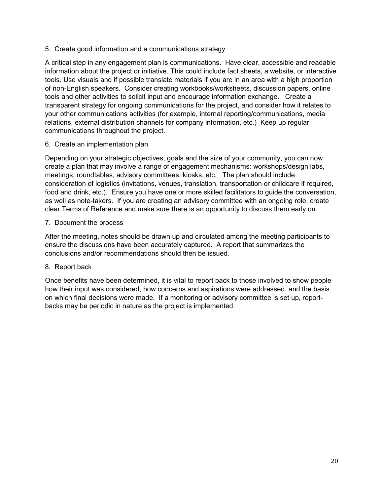5. Create good information and a communications strategy

A critical step in any engagement plan is communications. Have clear, accessible and readable information about the project or initiative. This could include fact sheets, a website, or interactive tools. Use visuals and if possible translate materials if you are in an area with a high proportion of non-English speakers. Consider creating workbooks/worksheets, discussion papers, online tools and other activities to solicit input and encourage information exchange. Create a transparent strategy for ongoing communications for the project, and consider how it relates to your other communications activities (for example, internal reporting/communications, media relations, external distribution channels for company information, etc.) Keep up regular communications throughout the project.

6. Create an implementation plan

Depending on your strategic objectives, goals and the size of your community, you can now create a plan that may involve a range of engagement mechanisms: workshops/design labs, meetings, roundtables, advisory committees, kiosks, etc. The plan should include consideration of logistics (invitations, venues, translation, transportation or childcare if required, food and drink, etc.). Ensure you have one or more skilled facilitators to guide the conversation, as well as note-takers. If you are creating an advisory committee with an ongoing role, create clear Terms of Reference and make sure there is an opportunity to discuss them early on.

7. Document the process

After the meeting, notes should be drawn up and circulated among the meeting participants to ensure the discussions have been accurately captured. A report that summarizes the conclusions and/or recommendations should then be issued.

#### 8. Report back

Once benefits have been determined, it is vital to report back to those involved to show people how their input was considered, how concerns and aspirations were addressed, and the basis on which final decisions were made. If a monitoring or advisory committee is set up, reportbacks may be periodic in nature as the project is implemented.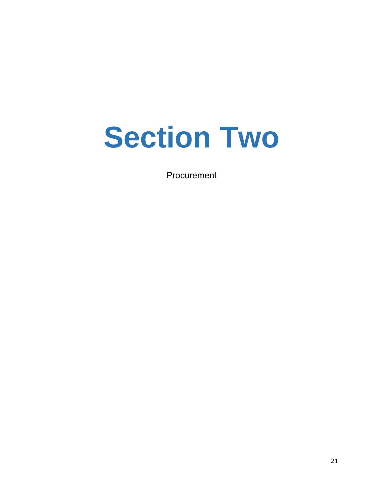# **Section Two**

Procurement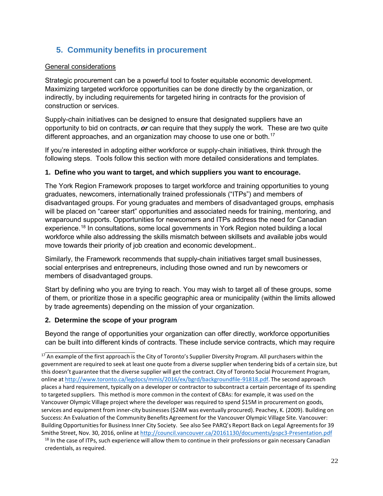#### **5. Community benefits in procurement**

#### General considerations

Strategic procurement can be a powerful tool to foster equitable economic development. Maximizing targeted workforce opportunities can be done directly by the organization, or indirectly, by including requirements for targeted hiring in contracts for the provision of construction or services.

Supply-chain initiatives can be designed to ensure that designated suppliers have an opportunity to bid on contracts, *or* can require that they supply the work. These are two quite different approaches, and an organization may choose to use one or both.<sup>17</sup>

If you're interested in adopting either workforce or supply-chain initiatives, think through the following steps. Tools follow this section with more detailed considerations and templates.

#### **1. Define who you want to target, and which suppliers you want to encourage.**

The York Region Framework proposes to target workforce and training opportunities to young graduates, newcomers, internationally trained professionals ("ITPs") and members of disadvantaged groups. For young graduates and members of disadvantaged groups, emphasis will be placed on "career start" opportunities and associated needs for training, mentoring, and wraparound supports. Opportunities for newcomers and ITPs address the need for Canadian experience.<sup>18</sup> In consultations, some local governments in York Region noted building a local workforce while also addressing the skills mismatch between skillsets and available jobs would move towards their priority of job creation and economic development..

Similarly, the Framework recommends that supply-chain initiatives target small businesses, social enterprises and entrepreneurs, including those owned and run by newcomers or members of disadvantaged groups.

Start by defining who you are trying to reach. You may wish to target all of these groups, some of them, or prioritize those in a specific geographic area or municipality (within the limits allowed by trade agreements) depending on the mission of your organization.

#### **2. Determine the scope of your program**

Beyond the range of opportunities your organization can offer directly, workforce opportunities can be built into different kinds of contracts. These include service contracts, which may require

 $17$  An example of the first approach is the City of Toronto's Supplier Diversity Program. All purchasers within the government are required to seek at least one quote from a diverse supplier when tendering bids of a certain size, but this doesn't guarantee that the diverse supplier will get the contract. City of Toronto Social Procurement Program, online at http://www.toronto.ca/legdocs/mmis/2016/ex/bgrd/backgroundfile‐91818.pdf. The second approach places a hard requirement, typically on a developer or contractor to subcontract a certain percentage of its spending to targeted suppliers. This method is more common in the context of CBAs: for example, it was used on the Vancouver Olympic Village project where the developer was required to spend \$15M in procurement on goods, services and equipment from inner‐city businesses(\$24M was eventually procured). Peachey, K. (2009). Building on Success: An Evaluation of the Community Benefits Agreement for the Vancouver Olympic Village Site. Vancouver: Building Opportunities for Business Inner City Society. See also See PARQ's Report Back on Legal Agreements for 39 Smithe Street, Nov. 30, 2016, online at http://council.vancouver.ca/20161130/documents/pspc3‐Presentation.pdf

<sup>&</sup>lt;sup>18</sup> In the case of ITPs, such experience will allow them to continue in their professions or gain necessary Canadian credentials, as required.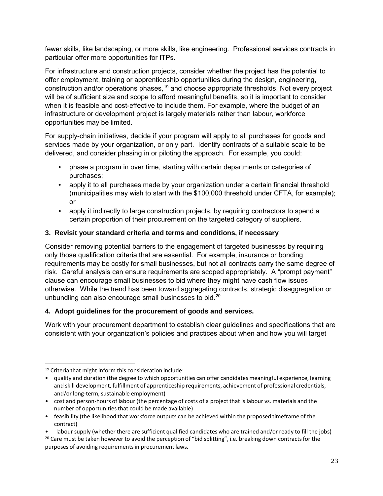fewer skills, like landscaping, or more skills, like engineering. Professional services contracts in particular offer more opportunities for ITPs.

For infrastructure and construction projects, consider whether the project has the potential to offer employment, training or apprenticeship opportunities during the design, engineering, construction and/or operations phases,<sup>19</sup> and choose appropriate thresholds. Not every project will be of sufficient size and scope to afford meaningful benefits, so it is important to consider when it is feasible and cost-effective to include them. For example, where the budget of an infrastructure or development project is largely materials rather than labour, workforce opportunities may be limited.

For supply-chain initiatives, decide if your program will apply to all purchases for goods and services made by your organization, or only part. Identify contracts of a suitable scale to be delivered, and consider phasing in or piloting the approach. For example, you could:

- phase a program in over time, starting with certain departments or categories of purchases;
- apply it to all purchases made by your organization under a certain financial threshold (municipalities may wish to start with the \$100,000 threshold under CFTA, for example); or
- apply it indirectly to large construction projects, by requiring contractors to spend a certain proportion of their procurement on the targeted category of suppliers.

#### **3. Revisit your standard criteria and terms and conditions, if necessary**

Consider removing potential barriers to the engagement of targeted businesses by requiring only those qualification criteria that are essential. For example, insurance or bonding requirements may be costly for small businesses, but not all contracts carry the same degree of risk. Careful analysis can ensure requirements are scoped appropriately. A "prompt payment" clause can encourage small businesses to bid where they might have cash flow issues otherwise. While the trend has been toward aggregating contracts, strategic disaggregation or unbundling can also encourage small businesses to bid.<sup>20</sup>

#### **4. Adopt guidelines for the procurement of goods and services.**

Work with your procurement department to establish clear guidelines and specifications that are consistent with your organization's policies and practices about when and how you will target

 $19$  Criteria that might inform this consideration include:

<sup>•</sup> quality and duration (the degree to which opportunities can offer candidates meaningful experience, learning and skill development, fulfillment of apprenticeship requirements, achievement of professional credentials, and/or long-term, sustainable employment)

<sup>•</sup> cost and person-hours of labour (the percentage of costs of a project that is labour vs. materials and the number of opportunitiesthat could be made available)

<sup>•</sup> feasibility (the likelihood that workforce outputs can be achieved within the proposed timeframe of the contract)

<sup>•</sup> labour supply (whether there are sufficient qualified candidates who are trained and/or ready to fill the jobs) <sup>20</sup> Care must be taken however to avoid the perception of "bid splitting", i.e. breaking down contracts for the purposes of avoiding requirementsin procurement laws.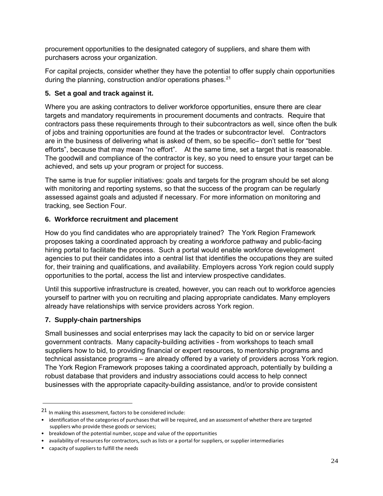procurement opportunities to the designated category of suppliers, and share them with purchasers across your organization.

For capital projects, consider whether they have the potential to offer supply chain opportunities during the planning, construction and/or operations phases.<sup>21</sup>

#### **5. Set a goal and track against it.**

Where you are asking contractors to deliver workforce opportunities, ensure there are clear targets and mandatory requirements in procurement documents and contracts. Require that contractors pass these requirements through to their subcontractors as well, since often the bulk of jobs and training opportunities are found at the trades or subcontractor level. Contractors are in the business of delivering what is asked of them, so be specific– don't settle for "best efforts", because that may mean "no effort". At the same time, set a target that is reasonable. The goodwill and compliance of the contractor is key, so you need to ensure your target can be achieved, and sets up your program or project for success.

The same is true for supplier initiatives: goals and targets for the program should be set along with monitoring and reporting systems, so that the success of the program can be regularly assessed against goals and adjusted if necessary. For more information on monitoring and tracking, see Section Four.

#### **6. Workforce recruitment and placement**

How do you find candidates who are appropriately trained? The York Region Framework proposes taking a coordinated approach by creating a workforce pathway and public-facing hiring portal to facilitate the process. Such a portal would enable workforce development agencies to put their candidates into a central list that identifies the occupations they are suited for, their training and qualifications, and availability. Employers across York region could supply opportunities to the portal, access the list and interview prospective candidates.

Until this supportive infrastructure is created, however, you can reach out to workforce agencies yourself to partner with you on recruiting and placing appropriate candidates. Many employers already have relationships with service providers across York region.

#### **7. Supply-chain partnerships**

Small businesses and social enterprises may lack the capacity to bid on or service larger government contracts. Many capacity-building activities - from workshops to teach small suppliers how to bid, to providing financial or expert resources, to mentorship programs and technical assistance programs – are already offered by a variety of providers across York region. The York Region Framework proposes taking a coordinated approach, potentially by building a robust database that providers and industry associations could access to help connect businesses with the appropriate capacity-building assistance, and/or to provide consistent

<sup>21</sup> In making this assessment, factors to be considered include:

<sup>•</sup> identification of the categories of purchases that will be required, and an assessment of whether there are targeted suppliers who provide these goods or services;

<sup>•</sup> breakdown of the potential number, scope and value of the opportunities

<sup>•</sup> availability of resources for contractors, such as lists or a portal for suppliers, or supplier intermediaries

<sup>•</sup> capacity of suppliers to fulfill the needs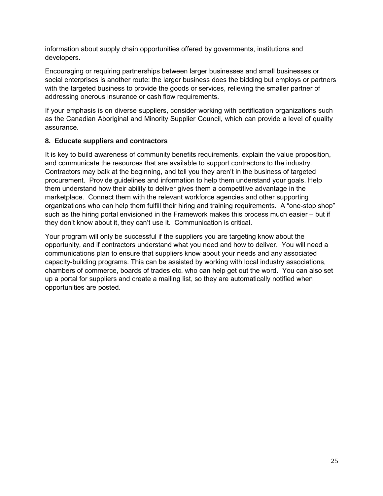information about supply chain opportunities offered by governments, institutions and developers.

Encouraging or requiring partnerships between larger businesses and small businesses or social enterprises is another route: the larger business does the bidding but employs or partners with the targeted business to provide the goods or services, relieving the smaller partner of addressing onerous insurance or cash flow requirements.

If your emphasis is on diverse suppliers, consider working with certification organizations such as the Canadian Aboriginal and Minority Supplier Council, which can provide a level of quality assurance.

#### **8. Educate suppliers and contractors**

It is key to build awareness of community benefits requirements, explain the value proposition, and communicate the resources that are available to support contractors to the industry. Contractors may balk at the beginning, and tell you they aren't in the business of targeted procurement. Provide guidelines and information to help them understand your goals. Help them understand how their ability to deliver gives them a competitive advantage in the marketplace. Connect them with the relevant workforce agencies and other supporting organizations who can help them fulfill their hiring and training requirements. A "one-stop shop" such as the hiring portal envisioned in the Framework makes this process much easier – but if they don't know about it, they can't use it. Communication is critical.

Your program will only be successful if the suppliers you are targeting know about the opportunity, and if contractors understand what you need and how to deliver. You will need a communications plan to ensure that suppliers know about your needs and any associated capacity-building programs. This can be assisted by working with local industry associations, chambers of commerce, boards of trades etc. who can help get out the word. You can also set up a portal for suppliers and create a mailing list, so they are automatically notified when opportunities are posted.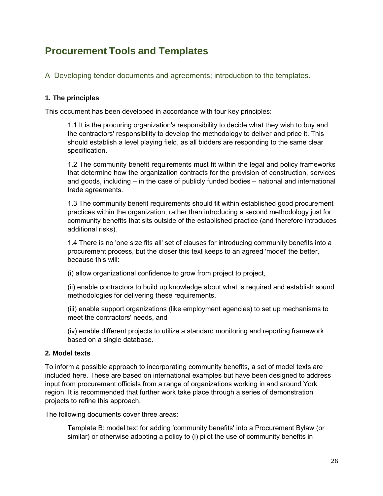## **Procurement Tools and Templates**

A Developing tender documents and agreements; introduction to the templates.

#### **1. The principles**

This document has been developed in accordance with four key principles:

1.1 It is the procuring organization's responsibility to decide what they wish to buy and the contractors' responsibility to develop the methodology to deliver and price it. This should establish a level playing field, as all bidders are responding to the same clear specification.

1.2 The community benefit requirements must fit within the legal and policy frameworks that determine how the organization contracts for the provision of construction, services and goods, including – in the case of publicly funded bodies – national and international trade agreements.

1.3 The community benefit requirements should fit within established good procurement practices within the organization, rather than introducing a second methodology just for community benefits that sits outside of the established practice (and therefore introduces additional risks).

1.4 There is no 'one size fits all' set of clauses for introducing community benefits into a procurement process, but the closer this text keeps to an agreed 'model' the better, because this will:

(i) allow organizational confidence to grow from project to project,

(ii) enable contractors to build up knowledge about what is required and establish sound methodologies for delivering these requirements,

(iii) enable support organizations (like employment agencies) to set up mechanisms to meet the contractors' needs, and

(iv) enable different projects to utilize a standard monitoring and reporting framework based on a single database.

#### **2. Model texts**

To inform a possible approach to incorporating community benefits, a set of model texts are included here. These are based on international examples but have been designed to address input from procurement officials from a range of organizations working in and around York region. It is recommended that further work take place through a series of demonstration projects to refine this approach.

The following documents cover three areas:

Template B: model text for adding 'community benefits' into a Procurement Bylaw (or similar) or otherwise adopting a policy to (i) pilot the use of community benefits in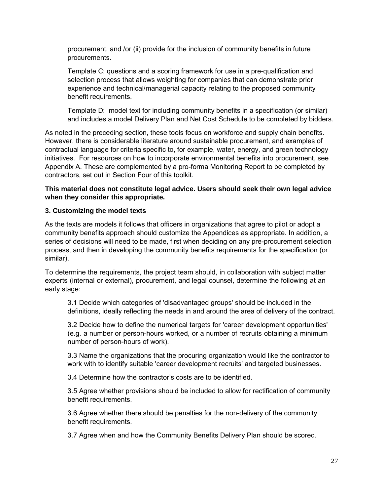procurement, and /or (ii) provide for the inclusion of community benefits in future procurements.

Template C: questions and a scoring framework for use in a pre-qualification and selection process that allows weighting for companies that can demonstrate prior experience and technical/managerial capacity relating to the proposed community benefit requirements.

Template D: model text for including community benefits in a specification (or similar) and includes a model Delivery Plan and Net Cost Schedule to be completed by bidders.

As noted in the preceding section, these tools focus on workforce and supply chain benefits. However, there is considerable literature around sustainable procurement, and examples of contractual language for criteria specific to, for example, water, energy, and green technology initiatives. For resources on how to incorporate environmental benefits into procurement, see Appendix A. These are complemented by a pro-forma Monitoring Report to be completed by contractors, set out in Section Four of this toolkit.

#### **This material does not constitute legal advice. Users should seek their own legal advice when they consider this appropriate.**

#### **3. Customizing the model texts**

As the texts are models it follows that officers in organizations that agree to pilot or adopt a community benefits approach should customize the Appendices as appropriate. In addition, a series of decisions will need to be made, first when deciding on any pre-procurement selection process, and then in developing the community benefits requirements for the specification (or similar).

To determine the requirements, the project team should, in collaboration with subject matter experts (internal or external), procurement, and legal counsel, determine the following at an early stage:

3.1 Decide which categories of 'disadvantaged groups' should be included in the definitions, ideally reflecting the needs in and around the area of delivery of the contract.

3.2 Decide how to define the numerical targets for 'career development opportunities' (e.g. a number or person-hours worked, or a number of recruits obtaining a minimum number of person-hours of work).

3.3 Name the organizations that the procuring organization would like the contractor to work with to identify suitable 'career development recruits' and targeted businesses.

3.4 Determine how the contractor's costs are to be identified.

3.5 Agree whether provisions should be included to allow for rectification of community benefit requirements.

3.6 Agree whether there should be penalties for the non-delivery of the community benefit requirements.

3.7 Agree when and how the Community Benefits Delivery Plan should be scored.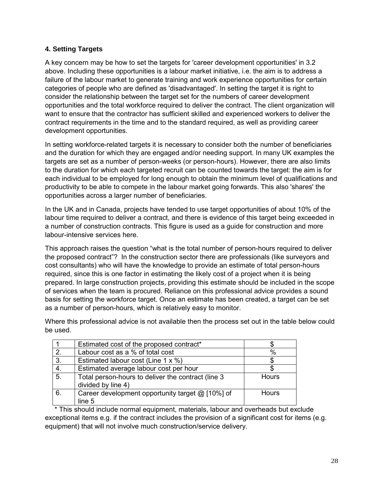#### **4. Setting Targets**

A key concern may be how to set the targets for 'career development opportunities' in 3.2 above. Including these opportunities is a labour market initiative, i.e. the aim is to address a failure of the labour market to generate training and work experience opportunities for certain categories of people who are defined as 'disadvantaged'. In setting the target it is right to consider the relationship between the target set for the numbers of career development opportunities and the total workforce required to deliver the contract. The client organization will want to ensure that the contractor has sufficient skilled and experienced workers to deliver the contract requirements in the time and to the standard required, as well as providing career development opportunities.

In setting workforce-related targets it is necessary to consider both the number of beneficiaries and the duration for which they are engaged and/or needing support. In many UK examples the targets are set as a number of person-weeks (or person-hours). However, there are also limits to the duration for which each targeted recruit can be counted towards the target: the aim is for each individual to be employed for long enough to obtain the minimum level of qualifications and productivity to be able to compete in the labour market going forwards. This also 'shares' the opportunities across a larger number of beneficiaries.

In the UK and in Canada, projects have tended to use target opportunities of about 10% of the labour time required to deliver a contract, and there is evidence of this target being exceeded in a number of construction contracts. This figure is used as a guide for construction and more labour-intensive services here.

This approach raises the question "what is the total number of person-hours required to deliver the proposed contract"? In the construction sector there are professionals (like surveyors and cost consultants) who will have the knowledge to provide an estimate of total person-hours required, since this is one factor in estimating the likely cost of a project when it is being prepared. In large construction projects, providing this estimate should be included in the scope of services when the team is procured. Reliance on this professional advice provides a sound basis for setting the workforce target. Once an estimate has been created, a target can be set as a number of person-hours, which is relatively easy to monitor.

Where this professional advice is not available then the process set out in the table below could be used.

|                  | Estimated cost of the proposed contract*                                 |              |
|------------------|--------------------------------------------------------------------------|--------------|
| $\mathcal{P}$    | Labour cost as a % of total cost                                         | $\%$         |
| 3.               | Estimated labour cost (Line 1 x %)                                       |              |
| $\overline{4}$ . | Estimated average labour cost per hour                                   |              |
| $\overline{5}$ . | Total person-hours to deliver the contract (line 3<br>divided by line 4) | <b>Hours</b> |
| 6.               | Career development opportunity target @ [10%] of<br>line 5               | <b>Hours</b> |

\* This should include normal equipment, materials, labour and overheads but exclude exceptional items e.g. if the contract includes the provision of a significant cost for items (e.g. equipment) that will not involve much construction/service delivery.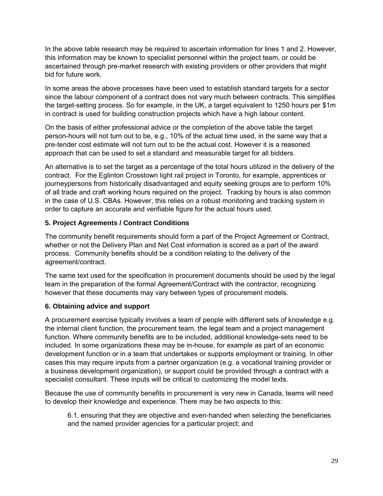In the above table research may be required to ascertain information for lines 1 and 2. However, this information may be known to specialist personnel within the project team, or could be ascertained through pre-market research with existing providers or other providers that might bid for future work.

In some areas the above processes have been used to establish standard targets for a sector since the labour component of a contract does not vary much between contracts. This simplifies the target-setting process. So for example, in the UK, a target equivalent to 1250 hours per \$1m in contract is used for building construction projects which have a high labour content.

On the basis of either professional advice or the completion of the above table the target person-hours will not turn out to be, e.g., 10% of the actual time used, in the same way that a pre-tender cost estimate will not turn out to be the actual cost. However it is a reasoned approach that can be used to set a standard and measurable target for all bidders.

An alternative is to set the target as a percentage of the total hours utilized in the delivery of the contract. For the Eglinton Crosstown light rail project in Toronto, for example, apprentices or journeypersons from historically disadvantaged and equity seeking groups are to perform 10% of all trade and craft working hours required on the project. Tracking by hours is also common in the case of U.S. CBAs. However, this relies on a robust monitoring and tracking system in order to capture an accurate and verifiable figure for the actual hours used.

#### **5. Project Agreements / Contract Conditions**

The community benefit requirements should form a part of the Project Agreement or Contract, whether or not the Delivery Plan and Net Cost information is scored as a part of the award process. Community benefits should be a condition relating to the delivery of the agreement/contract.

The same text used for the specification in procurement documents should be used by the legal team in the preparation of the formal Agreement/Contract with the contractor, recognizing however that these documents may vary between types of procurement models.

#### **6. Obtaining advice and support**

A procurement exercise typically involves a team of people with different sets of knowledge e.g. the internal client function, the procurement team, the legal team and a project management function. Where community benefits are to be included, additional knowledge-sets need to be included. In some organizations these may be in-house, for example as part of an economic development function or in a team that undertakes or supports employment or training. In other cases this may require inputs from a partner organization (e.g. a vocational training provider or a business development organization), or support could be provided through a contract with a specialist consultant. These inputs will be critical to customizing the model texts.

Because the use of community benefits in procurement is very new in Canada, teams will need to develop their knowledge and experience. There may be two aspects to this:

6.1. ensuring that they are objective and even-handed when selecting the beneficiaries and the named provider agencies for a particular project; and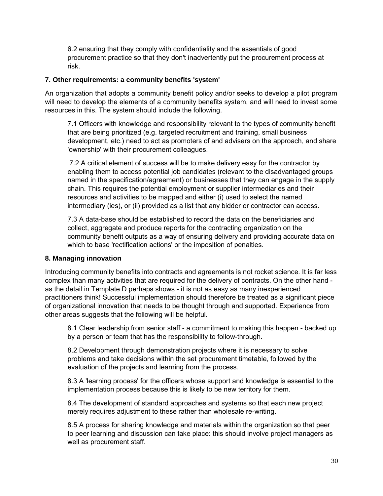6.2 ensuring that they comply with confidentiality and the essentials of good procurement practice so that they don't inadvertently put the procurement process at risk.

#### **7. Other requirements: a community benefits 'system'**

An organization that adopts a community benefit policy and/or seeks to develop a pilot program will need to develop the elements of a community benefits system, and will need to invest some resources in this. The system should include the following.

7.1 Officers with knowledge and responsibility relevant to the types of community benefit that are being prioritized (e.g. targeted recruitment and training, small business development, etc.) need to act as promoters of and advisers on the approach, and share 'ownership' with their procurement colleagues.

7.2 A critical element of success will be to make delivery easy for the contractor by enabling them to access potential job candidates (relevant to the disadvantaged groups named in the specification/agreement) or businesses that they can engage in the supply chain. This requires the potential employment or supplier intermediaries and their resources and activities to be mapped and either (i) used to select the named intermediary (ies), or (ii) provided as a list that any bidder or contractor can access.

7.3 A data-base should be established to record the data on the beneficiaries and collect, aggregate and produce reports for the contracting organization on the community benefit outputs as a way of ensuring delivery and providing accurate data on which to base 'rectification actions' or the imposition of penalties.

#### **8. Managing innovation**

Introducing community benefits into contracts and agreements is not rocket science. It is far less complex than many activities that are required for the delivery of contracts. On the other hand as the detail in Template D perhaps shows - it is not as easy as many inexperienced practitioners think! Successful implementation should therefore be treated as a significant piece of organizational innovation that needs to be thought through and supported. Experience from other areas suggests that the following will be helpful.

8.1 Clear leadership from senior staff - a commitment to making this happen - backed up by a person or team that has the responsibility to follow-through.

8.2 Development through demonstration projects where it is necessary to solve problems and take decisions within the set procurement timetable, followed by the evaluation of the projects and learning from the process.

8.3 A 'learning process' for the officers whose support and knowledge is essential to the implementation process because this is likely to be new territory for them.

8.4 The development of standard approaches and systems so that each new project merely requires adjustment to these rather than wholesale re-writing.

8.5 A process for sharing knowledge and materials within the organization so that peer to peer learning and discussion can take place: this should involve project managers as well as procurement staff.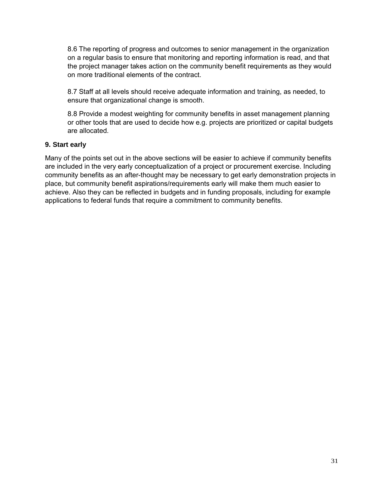8.6 The reporting of progress and outcomes to senior management in the organization on a regular basis to ensure that monitoring and reporting information is read, and that the project manager takes action on the community benefit requirements as they would on more traditional elements of the contract.

8.7 Staff at all levels should receive adequate information and training, as needed, to ensure that organizational change is smooth.

8.8 Provide a modest weighting for community benefits in asset management planning or other tools that are used to decide how e.g. projects are prioritized or capital budgets are allocated.

#### **9. Start early**

Many of the points set out in the above sections will be easier to achieve if community benefits are included in the very early conceptualization of a project or procurement exercise. Including community benefits as an after-thought may be necessary to get early demonstration projects in place, but community benefit aspirations/requirements early will make them much easier to achieve. Also they can be reflected in budgets and in funding proposals, including for example applications to federal funds that require a commitment to community benefits.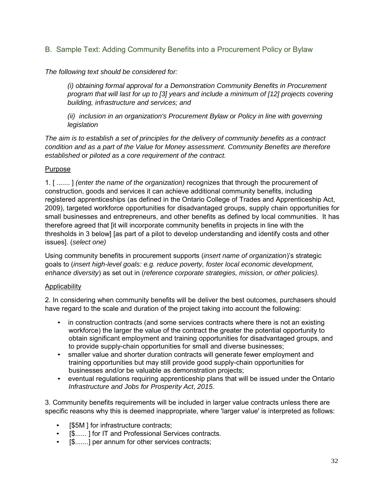B. Sample Text: Adding Community Benefits into a Procurement Policy or Bylaw

*The following text should be considered for:*

*(i) obtaining formal approval for a Demonstration Community Benefits in Procurement program that will last for up to [3] years and include a minimum of [12] projects covering building, infrastructure and services; and*

*(ii) inclusion in an organization's Procurement Bylaw or Policy in line with governing legislation*

*The aim is to establish a set of principles for the delivery of community benefits as a contract condition and as a part of the Value for Money assessment. Community Benefits are therefore established or piloted as a core requirement of the contract.*

#### Purpose

1. [ ....... ] *(enter the name of the organization)* recognizes that through the procurement of construction, goods and services it can achieve additional community benefits, including registered apprenticeships (as defined in the Ontario College of Trades and Apprenticeship Act, 2009), targeted workforce opportunities for disadvantaged groups, supply chain opportunities for small businesses and entrepreneurs, and other benefits as defined by local communities. It has therefore agreed that [it will incorporate community benefits in projects in line with the thresholds in 3 below] [as part of a pilot to develop understanding and identify costs and other issues]. (*select one)*

Using community benefits in procurement supports (*insert name of organization*)'s strategic goals to (*insert high-level goals: e.g. reduce poverty, foster local economic development, enhance diversity*) as set out in (*reference corporate strategies, mission, or other policies).*

#### **Applicability**

2. In considering when community benefits will be deliver the best outcomes, purchasers should have regard to the scale and duration of the project taking into account the following:

- in construction contracts (and some services contracts where there is not an existing workforce) the larger the value of the contract the greater the potential opportunity to obtain significant employment and training opportunities for disadvantaged groups, and to provide supply-chain opportunities for small and diverse businesses;
- smaller value and shorter duration contracts will generate fewer employment and training opportunities but may still provide good supply-chain opportunities for businesses and/or be valuable as demonstration projects;
- eventual regulations requiring apprenticeship plans that will be issued under the Ontario *Infrastructure and Jobs for Prosperity Act*, *2015*.

3. Community benefits requirements will be included in larger value contracts unless there are specific reasons why this is deemed inappropriate, where 'larger value' is interpreted as follows:

- [\$5M ] for infrastructure contracts;
- [\$......] for IT and Professional Services contracts.
- [\$.......] per annum for other services contracts;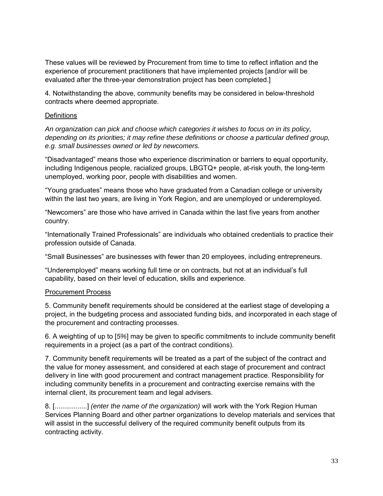These values will be reviewed by Procurement from time to time to reflect inflation and the experience of procurement practitioners that have implemented projects [and/or will be evaluated after the three-year demonstration project has been completed.]

4. Notwithstanding the above, community benefits may be considered in below-threshold contracts where deemed appropriate.

#### **Definitions**

*An organization can pick and choose which categories it wishes to focus on in its policy, depending on its priorities; it may refine these definitions or choose a particular defined group, e.g. small businesses owned or led by newcomers.*

"Disadvantaged" means those who experience discrimination or barriers to equal opportunity, including Indigenous people, racialized groups, LBGTQ+ people, at-risk youth, the long-term unemployed, working poor, people with disabilities and women.

"Young graduates" means those who have graduated from a Canadian college or university within the last two years, are living in York Region, and are unemployed or underemployed.

"Newcomers" are those who have arrived in Canada within the last five years from another country.

"Internationally Trained Professionals" are individuals who obtained credentials to practice their profession outside of Canada.

"Small Businesses" are businesses with fewer than 20 employees, including entrepreneurs.

"Underemployed" means working full time or on contracts, but not at an individual's full capability, based on their level of education, skills and experience.

#### Procurement Process

5. Community benefit requirements should be considered at the earliest stage of developing a project, in the budgeting process and associated funding bids, and incorporated in each stage of the procurement and contracting processes.

6. A weighting of up to [*5%*] may be given to specific commitments to include community benefit requirements in a project (as a part of the contract conditions).

7. Community benefit requirements will be treated as a part of the subject of the contract and the value for money assessment, and considered at each stage of procurement and contract delivery in line with good procurement and contract management practice. Responsibility for including community benefits in a procurement and contracting exercise remains with the internal client, its procurement team and legal advisers.

8. [.................] *(enter the name of the organization)* will work with the York Region Human Services Planning Board and other partner organizations to develop materials and services that will assist in the successful delivery of the required community benefit outputs from its contracting activity.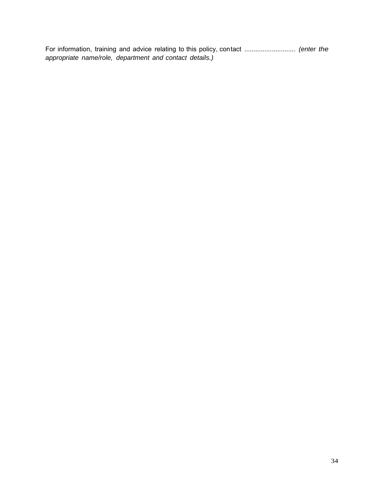For information, training and advice relating to this policy, contact ............................ *(enter the appropriate name/role, department and contact details.)*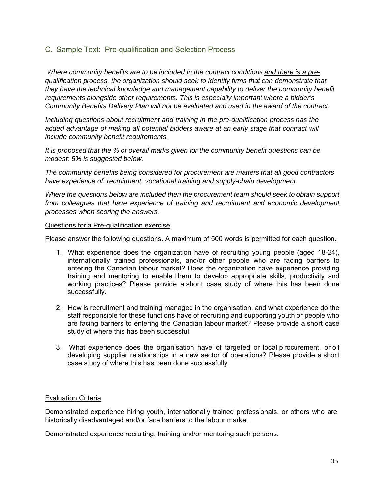#### C. Sample Text: Pre-qualification and Selection Process

*Where community benefits are to be included in the contract conditions and there is a prequalification process, the organization should seek to identify firms that can demonstrate that they have the technical knowledge and management capability to deliver the community benefit requirements alongside other requirements. This is especially important where a bidder's Community Benefits Delivery Plan will not be evaluated and used in the award of the contract.*

*Including questions about recruitment and training in the pre-qualification process has the*  added advantage of making all potential bidders aware at an early stage that contract will *include community benefit requirements.*

*It is proposed that the % of overall marks given for the community benefit questions can be modest: 5% is suggested below.*

*The community benefits being considered for procurement are matters that all good contractors have experience of: recruitment, vocational training and supply-chain development.*

*Where the questions below are included then the procurement team should seek to obtain support*  from colleagues that have experience of training and recruitment and economic development *processes when scoring the answers.*

#### Questions for a Pre-qualification exercise

Please answer the following questions. A maximum of 500 words is permitted for each question.

- 1. What experience does the organization have of recruiting young people (aged 18-24), internationally trained professionals, and/or other people who are facing barriers to entering the Canadian labour market? Does the organization have experience providing training and mentoring to enable t hem to develop appropriate skills, productivity and working practices? Please provide a shor t case study of where this has been done successfully.
- 2. How is recruitment and training managed in the organisation, and what experience do the staff responsible for these functions have of recruiting and supporting youth or people who are facing barriers to entering the Canadian labour market? Please provide a short case study of where this has been successful.
- 3. What experience does the organisation have of targeted or local p rocurement, or o f developing supplier relationships in a new sector of operations? Please provide a short case study of where this has been done successfully.

#### **Evaluation Criteria**

Demonstrated experience hiring youth, internationally trained professionals, or others who are historically disadvantaged and/or face barriers to the labour market.

Demonstrated experience recruiting, training and/or mentoring such persons.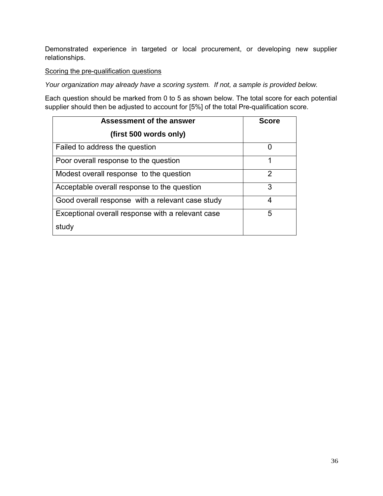Demonstrated experience in targeted or local procurement, or developing new supplier relationships.

#### Scoring the pre-qualification questions

*Your organization may already have a scoring system. If not, a sample is provided below.*

Each question should be marked from 0 to 5 as shown below. The total score for each potential supplier should then be adjusted to account for [5%] of the total Pre-qualification score.

| <b>Assessment of the answer</b>                   | <b>Score</b>  |  |
|---------------------------------------------------|---------------|--|
| (first 500 words only)                            |               |  |
| Failed to address the question                    | 0             |  |
| Poor overall response to the question             | 1             |  |
| Modest overall response to the question           | $\mathcal{P}$ |  |
| Acceptable overall response to the question       | 3             |  |
| Good overall response with a relevant case study  | 4             |  |
| Exceptional overall response with a relevant case | 5             |  |
| study                                             |               |  |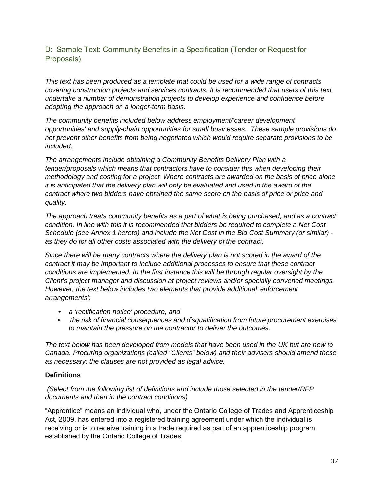# D: Sample Text: Community Benefits in a Specification (Tender or Request for Proposals)

*This text has been produced as a template that could be used for a wide range of contracts covering construction projects and services contracts. It is recommended that users of this text undertake a number of demonstration projects to develop experience and confidence before adopting the approach on a longer-term basis.*

*The community benefits included below address employment/'career development opportunities' and supply-chain opportunities for small businesses. These sample provisions do not prevent other benefits from being negotiated which would require separate provisions to be included.*

*The arrangements include obtaining a Community Benefits Delivery Plan with a tender/proposals which means that contractors have to consider this when developing their methodology and costing for a project. Where contracts are awarded on the basis of price alone it is anticipated that the delivery plan will only be evaluated and used in the award of the contract where two bidders have obtained the same score on the basis of price or price and quality.*

*The approach treats community benefits as a part of what is being purchased, and as a contract condition. In line with this it is recommended that bidders be required to complete a Net Cost Schedule (see Annex 1 hereto) and include the Net Cost in the Bid Cost Summary (or similar) as they do for all other costs associated with the delivery of the contract.*

*Since there will be many contracts where the delivery plan is not scored in the award of the contract it may be important to include additional processes to ensure that these contract conditions are implemented. In the first instance this will be through regular oversight by the Client's project manager and discussion at project reviews and/or specially convened meetings. However, the text below includes two elements that provide additional 'enforcement arrangements':*

- *a 'rectification notice' procedure, and*
- *the risk of financial consequences and disqualification from future procurement exercises to maintain the pressure on the contractor to deliver the outcomes.*

*The text below has been developed from models that have been used in the UK but are new to Canada. Procuring organizations (called "Clients" below) and their advisers should amend these as necessary: the clauses are not provided as legal advice.*

#### **Definitions**

#### *(Select from the following list of definitions and include those selected in the tender/RFP documents and then in the contract conditions)*

"Apprentice" means an individual who, under the Ontario College of Trades and Apprenticeship Act, 2009, has entered into a registered training agreement under which the individual is receiving or is to receive training in a trade required as part of an apprenticeship program established by the Ontario College of Trades;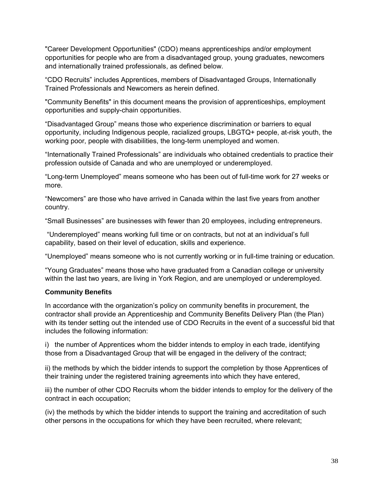"Career Development Opportunities" (CDO) means apprenticeships and/or employment opportunities for people who are from a disadvantaged group, young graduates, newcomers and internationally trained professionals, as defined below.

"CDO Recruits" includes Apprentices, members of Disadvantaged Groups, Internationally Trained Professionals and Newcomers as herein defined.

"Community Benefits" in this document means the provision of apprenticeships, employment opportunities and supply-chain opportunities.

"Disadvantaged Group" means those who experience discrimination or barriers to equal opportunity, including Indigenous people, racialized groups, LBGTQ+ people, at-risk youth, the working poor, people with disabilities, the long-term unemployed and women.

"Internationally Trained Professionals" are individuals who obtained credentials to practice their profession outside of Canada and who are unemployed or underemployed.

"Long-term Unemployed" means someone who has been out of full-time work for 27 weeks or more.

"Newcomers" are those who have arrived in Canada within the last five years from another country.

"Small Businesses" are businesses with fewer than 20 employees, including entrepreneurs.

"Underemployed" means working full time or on contracts, but not at an individual's full capability, based on their level of education, skills and experience.

"Unemployed" means someone who is not currently working or in full-time training or education.

"Young Graduates" means those who have graduated from a Canadian college or university within the last two years, are living in York Region, and are unemployed or underemployed.

#### **Community Benefits**

In accordance with the organization's policy on community benefits in procurement, the contractor shall provide an Apprenticeship and Community Benefits Delivery Plan (the Plan) with its tender setting out the intended use of CDO Recruits in the event of a successful bid that includes the following information:

i) the number of Apprentices whom the bidder intends to employ in each trade, identifying those from a Disadvantaged Group that will be engaged in the delivery of the contract;

ii) the methods by which the bidder intends to support the completion by those Apprentices of their training under the registered training agreements into which they have entered,

iii) the number of other CDO Recruits whom the bidder intends to employ for the delivery of the contract in each occupation;

(iv) the methods by which the bidder intends to support the training and accreditation of such other persons in the occupations for which they have been recruited, where relevant;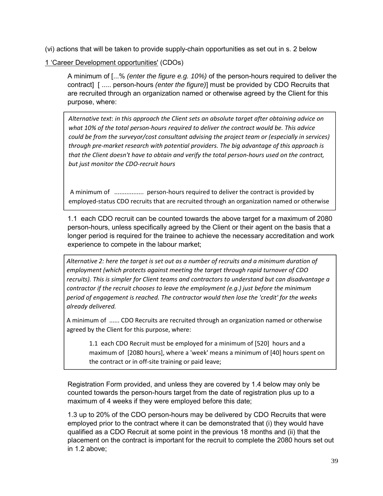(vi) actions that will be taken to provide supply-chain opportunities as set out in s. 2 below

1 'Career Development opportunities' (CDOs)

A minimum of [...% *(enter the figure e.g. 10%)* of the person-hours required to deliver the contract] [ ..... person-hours *(enter the figure)*] must be provided by CDO Recruits that are recruited through an organization named or otherwise agreed by the Client for this purpose, where:

*Alternative text*: *in this approach the Client sets an absolute target after obtaining advice on what 10% of the total person‐hours required to deliver the contract would be. This advice could be from the surveyor/cost consultant advising the project team or (especially in services) through pre‐market research with potential providers. The big advantage of this approach is that the Client doesn't have to obtain and verify the total person‐hours used on the contract, but just monitor the CDO‐recruit hours*

A minimum of ................... person-hours required to deliver the contract is provided by employed-status CDO recruits that are recruited through an organization named or otherwise

1.1 each CDO recruit can be counted towards the above target for a maximum of 2080 person-hours, unless specifically agreed by the Client or their agent on the basis that a longer period is required for the trainee to achieve the necessary accreditation and work experience to compete in the labour market;

*Alternative 2: here the target is set out as a number of recruits and a minimum duration of employment (which protects against meeting the target through rapid turnover of CDO recruits). This is simpler for Client teams and contractors to understand but can disadvantage a contractor if the recruit chooses to leave the employment (e.g.) just before the minimum period of engagement is reached. The contractor would then lose the 'credit' for the weeks already delivered.*

A minimum of ...... CDO Recruits are recruited through an organization named or otherwise agreed by the Client for this purpose, where:

maximum of [2080 hours], where a 'week' means a minimum of [40] hours spent on the contract or in off-site training or paid leave; 1.1 each CDO Recruit must be employed for a minimum of [520] hours and a

Registration Form provided, and unless they are covered by 1.4 below may only be counted towards the person-hours target from the date of registration plus up to a maximum of 4 weeks if they were employed before this date;

1.3 up to 20% of the CDO person-hours may be delivered by CDO Recruits that were employed prior to the contract where it can be demonstrated that (i) they would have qualified as a CDO Recruit at some point in the previous 18 months and (ii) that the placement on the contract is important for the recruit to complete the 2080 hours set out in 1.2 above;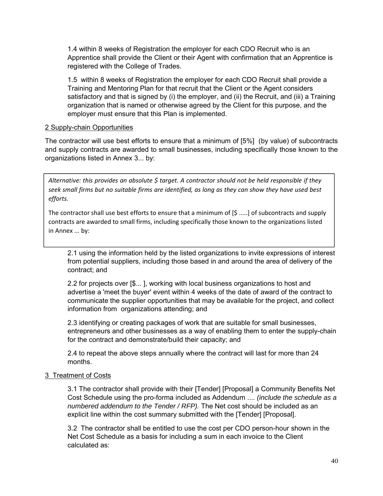1.4 within 8 weeks of Registration the employer for each CDO Recruit who is an Apprentice shall provide the Client or their Agent with confirmation that an Apprentice is registered with the College of Trades.

1.5 within 8 weeks of Registration the employer for each CDO Recruit shall provide a Training and Mentoring Plan for that recruit that the Client or the Agent considers satisfactory and that is signed by (i) the employer, and (ii) the Recruit, and (iii) a Training organization that is named or otherwise agreed by the Client for this purpose, and the employer must ensure that this Plan is implemented.

#### 2 Supply-chain Opportunities

The contractor will use best efforts to ensure that a minimum of [5%] (by value) of subcontracts and supply contracts are awarded to small businesses, including specifically those known to the organizations listed in Annex 3... by:

*Alternative: this provides an absolute \$ target. A contractor should not be held responsible if they* seek small firms but no suitable firms are identified, as long as they can show they have used best *efforts.*

The contractor shall use best efforts to ensure that a minimum of [\$ .....] of subcontracts and supply contracts are awarded to small firms, including specifically those known to the organizations listed in Annex ... by:

2.1 using the information held by the listed organizations to invite expressions of interest from potential suppliers, including those based in and around the area of delivery of the contract; and

2.2 for projects over [\$... ], working with local business organizations to host and advertise a 'meet the buyer' event within 4 weeks of the date of award of the contract to communicate the supplier opportunities that may be available for the project, and collect information from organizations attending; and

2.3 identifying or creating packages of work that are suitable for small businesses, entrepreneurs and other businesses as a way of enabling them to enter the supply-chain for the contract and demonstrate/build their capacity; and

2.4 to repeat the above steps annually where the contract will last for more than 24 months.

# 3 Treatment of Costs

3.1 The contractor shall provide with their [Tender] [Proposal] a Community Benefits Net Cost Schedule using the pro-forma included as Addendum .... *(include the schedule as a numbered addendum to the Tender / RFP).* The Net cost should be included as an explicit line within the cost summary submitted with the [Tender] [Proposal].

3.2 The contractor shall be entitled to use the cost per CDO person-hour shown in the Net Cost Schedule as a basis for including a sum in each invoice to the Client calculated as: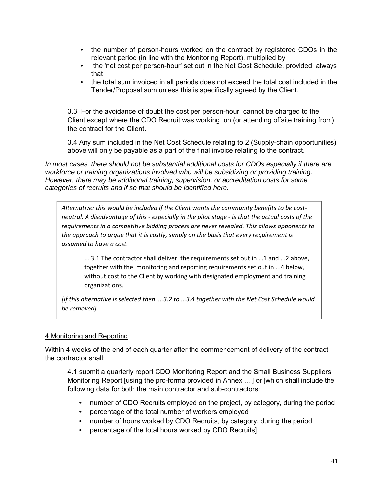- the number of person-hours worked on the contract by registered CDOs in the relevant period (in line with the Monitoring Report), multiplied by
- the 'net cost per person-hour' set out in the Net Cost Schedule, provided always that
- the total sum invoiced in all periods does not exceed the total cost included in the Tender/Proposal sum unless this is specifically agreed by the Client.

3.3 For the avoidance of doubt the cost per person-hour cannot be charged to the Client except where the CDO Recruit was working on (or attending offsite training from) the contract for the Client.

3.4 Any sum included in the Net Cost Schedule relating to 2 (Supply-chain opportunities) above will only be payable as a part of the final invoice relating to the contract.

*In most cases, there should not be substantial additional costs for CDOs especially if there are workforce or training organizations involved who will be subsidizing or providing training. However, there may be additional training, supervision, or accreditation costs for some categories of recruits and if so that should be identified here.*

*Alternative: this would be included if the Client wants the community benefits to be cost‐*  neutral. A disadvantage of this - especially in the pilot stage - is that the actual costs of the *requirements in a competitive bidding process are never revealed. This allows opponents to the approach to argue that it is costly, simply on the basis that every requirement is assumed to have a cost.*

... 3.1 The contractor shall deliver the requirements set out in ...1 and ...2 above, together with the monitoring and reporting requirements set out in ...4 below, without cost to the Client by working with designated employment and training organizations.

*[If this alternative is selected then ...3.2 to ...3.4 together with the Net Cost Schedule would be removed]*

#### 4 Monitoring and Reporting

Within 4 weeks of the end of each quarter after the commencement of delivery of the contract the contractor shall:

4.1 submit a quarterly report CDO Monitoring Report and the Small Business Suppliers Monitoring Report [using the pro-forma provided in Annex ... ] or [which shall include the following data for both the main contractor and sub-contractors:

- number of CDO Recruits employed on the project, by category, during the period
- percentage of the total number of workers employed
- number of hours worked by CDO Recruits, by category, during the period
- percentage of the total hours worked by CDO Recruits]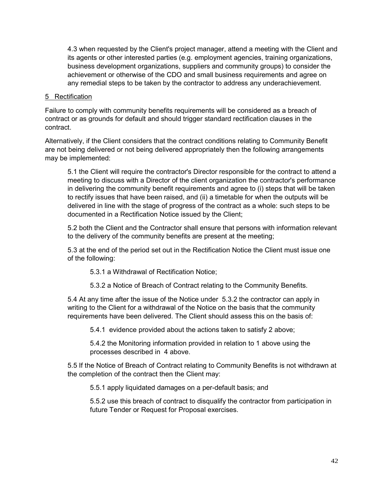4.3 when requested by the Client's project manager, attend a meeting with the Client and its agents or other interested parties (e.g. employment agencies, training organizations, business development organizations, suppliers and community groups) to consider the achievement or otherwise of the CDO and small business requirements and agree on any remedial steps to be taken by the contractor to address any underachievement.

#### 5 Rectification

Failure to comply with community benefits requirements will be considered as a breach of contract or as grounds for default and should trigger standard rectification clauses in the contract.

Alternatively, if the Client considers that the contract conditions relating to Community Benefit are not being delivered or not being delivered appropriately then the following arrangements may be implemented:

5.1 the Client will require the contractor's Director responsible for the contract to attend a meeting to discuss with a Director of the client organization the contractor's performance in delivering the community benefit requirements and agree to (i) steps that will be taken to rectify issues that have been raised, and (ii) a timetable for when the outputs will be delivered in line with the stage of progress of the contract as a whole: such steps to be documented in a Rectification Notice issued by the Client;

5.2 both the Client and the Contractor shall ensure that persons with information relevant to the delivery of the community benefits are present at the meeting;

5.3 at the end of the period set out in the Rectification Notice the Client must issue one of the following:

5.3.1 a Withdrawal of Rectification Notice;

5.3.2 a Notice of Breach of Contract relating to the Community Benefits.

5.4 At any time after the issue of the Notice under 5.3.2 the contractor can apply in writing to the Client for a withdrawal of the Notice on the basis that the community requirements have been delivered. The Client should assess this on the basis of:

5.4.1 evidence provided about the actions taken to satisfy 2 above;

5.4.2 the Monitoring information provided in relation to 1 above using the processes described in 4 above.

5.5 If the Notice of Breach of Contract relating to Community Benefits is not withdrawn at the completion of the contract then the Client may:

5.5.1 apply liquidated damages on a per-default basis; and

5.5.2 use this breach of contract to disqualify the contractor from participation in future Tender or Request for Proposal exercises.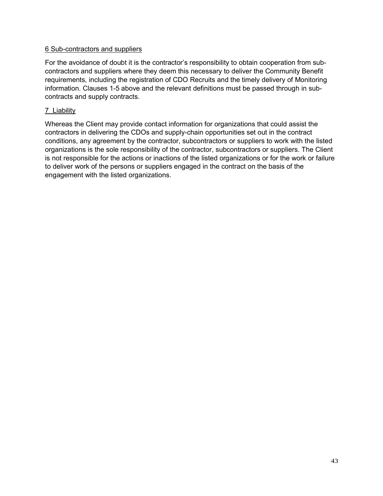#### 6 Sub-contractors and suppliers

For the avoidance of doubt it is the contractor's responsibility to obtain cooperation from subcontractors and suppliers where they deem this necessary to deliver the Community Benefit requirements, including the registration of CDO Recruits and the timely delivery of Monitoring information. Clauses 1-5 above and the relevant definitions must be passed through in subcontracts and supply contracts.

#### 7 Liability

Whereas the Client may provide contact information for organizations that could assist the contractors in delivering the CDOs and supply-chain opportunities set out in the contract conditions, any agreement by the contractor, subcontractors or suppliers to work with the listed organizations is the sole responsibility of the contractor, subcontractors or suppliers. The Client is not responsible for the actions or inactions of the listed organizations or for the work or failure to deliver work of the persons or suppliers engaged in the contract on the basis of the engagement with the listed organizations.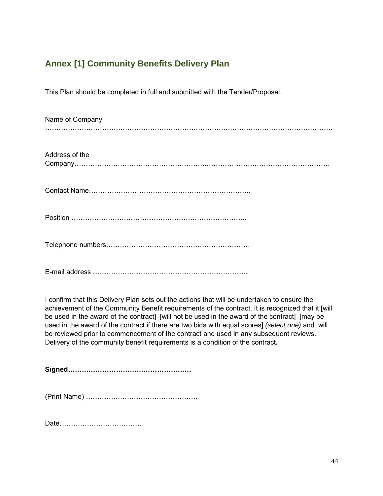# **Annex [1] Community Benefits Delivery Plan**

This Plan should be completed in full and submitted with the Tender/Proposal.

| Name of Company |
|-----------------|
| Address of the  |
|                 |
|                 |
|                 |
|                 |

I confirm that this Delivery Plan sets out the actions that will be undertaken to ensure the achievement of the Community Benefit requirements of the contract. It is recognized that it [will be used in the award of the contract] [will not be used in the award of the contract] [may be used in the award of the contract if there are two bids with equal scores] *(select one)* and will be reviewed prior to commencement of the contract and used in any subsequent reviews. Delivery of the community benefit requirements is a condition of the contract**.**

**Signed………………………………………………**

(Print Name) ………………………………………….

Date………………………………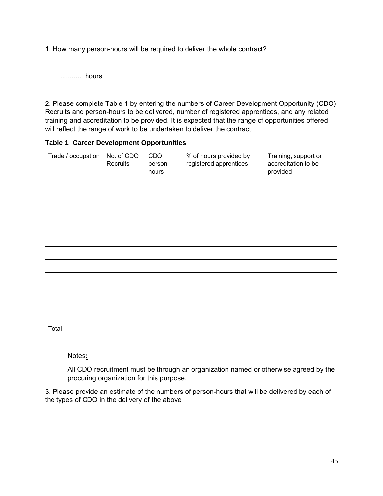1. How many person-hours will be required to deliver the whole contract?

........... hours

2. Please complete Table 1 by entering the numbers of Career Development Opportunity (CDO) Recruits and person-hours to be delivered, number of registered apprentices, and any related training and accreditation to be provided. It is expected that the range of opportunities offered will reflect the range of work to be undertaken to deliver the contract.

#### **Table 1 Career Development Opportunities**

| Trade / occupation | No. of CDO<br>Recruits | CDO<br>person-<br>hours | % of hours provided by<br>registered apprentices | Training, support or<br>accreditation to be<br>provided |
|--------------------|------------------------|-------------------------|--------------------------------------------------|---------------------------------------------------------|
|                    |                        |                         |                                                  |                                                         |
|                    |                        |                         |                                                  |                                                         |
|                    |                        |                         |                                                  |                                                         |
|                    |                        |                         |                                                  |                                                         |
|                    |                        |                         |                                                  |                                                         |
|                    |                        |                         |                                                  |                                                         |
|                    |                        |                         |                                                  |                                                         |
|                    |                        |                         |                                                  |                                                         |
|                    |                        |                         |                                                  |                                                         |
|                    |                        |                         |                                                  |                                                         |
|                    |                        |                         |                                                  |                                                         |
| Total              |                        |                         |                                                  |                                                         |

Notes**:**

All CDO recruitment must be through an organization named or otherwise agreed by the procuring organization for this purpose.

3. Please provide an estimate of the numbers of person-hours that will be delivered by each of the types of CDO in the delivery of the above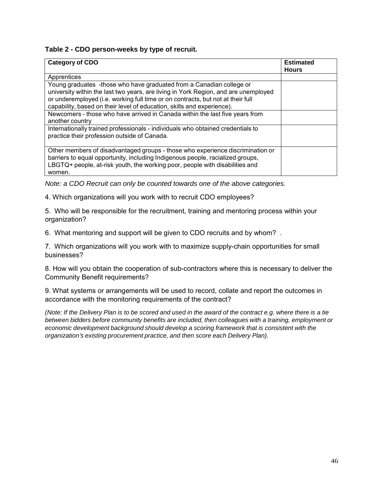#### **Table 2 - CDO person-weeks by type of recruit.**

| <b>Category of CDO</b>                                                                                                                                                                                                                                                                                                   | <b>Estimated</b> |
|--------------------------------------------------------------------------------------------------------------------------------------------------------------------------------------------------------------------------------------------------------------------------------------------------------------------------|------------------|
|                                                                                                                                                                                                                                                                                                                          | <b>Hours</b>     |
| Apprentices                                                                                                                                                                                                                                                                                                              |                  |
| Young graduates -those who have graduated from a Canadian college or<br>university within the last two years, are living in York Region, and are unemployed<br>or underemployed (i.e. working full time or on contracts, but not at their full<br>capability, based on their level of education, skills and experience). |                  |
| Newcomers - those who have arrived in Canada within the last five years from<br>another country                                                                                                                                                                                                                          |                  |
| Internationally trained professionals - individuals who obtained credentials to<br>practice their profession outside of Canada.                                                                                                                                                                                          |                  |
| Other members of disadvantaged groups - those who experience discrimination or<br>barriers to equal opportunity, including Indigenous people, racialized groups,<br>LBGTQ+ people, at-risk youth, the working poor, people with disabilities and<br>women.                                                               |                  |

*Note: a CDO Recruit can only be counted towards one of the above categories.*

4. Which organizations will you work with to recruit CDO employees?

5. Who will be responsible for the recruitment, training and mentoring process within your organization?

6. What mentoring and support will be given to CDO recruits and by whom? .

7. Which organizations will you work with to maximize supply-chain opportunities for small businesses?

8. How will you obtain the cooperation of sub-contractors where this is necessary to deliver the Community Benefit requirements?

9. What systems or arrangements will be used to record, collate and report the outcomes in accordance with the monitoring requirements of the contract?

*(Note: If the Delivery Plan is to be scored and used in the award of the contract e.g. where there is a tie between bidders before community benefits are included, then colleagues with a training, employment or economic development background should develop a scoring framework that is consistent with the organization's existing procurement practice, and then score each Delivery Plan).*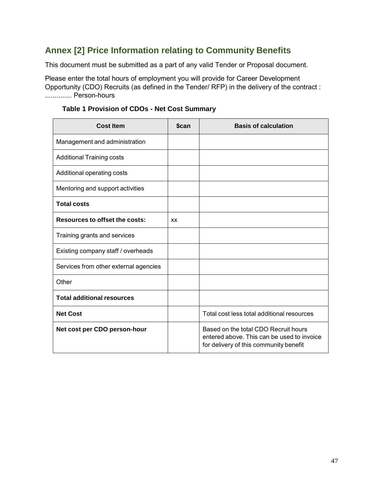# **Annex [2] Price Information relating to Community Benefits**

This document must be submitted as a part of any valid Tender or Proposal document.

Please enter the total hours of employment you will provide for Career Development Opportunity (CDO) Recruits (as defined in the Tender/ RFP) in the delivery of the contract : .............. Person-hours

| <b>Cost Item</b>                      | \$can     | <b>Basis of calculation</b>                                                                                                  |
|---------------------------------------|-----------|------------------------------------------------------------------------------------------------------------------------------|
| Management and administration         |           |                                                                                                                              |
| <b>Additional Training costs</b>      |           |                                                                                                                              |
| Additional operating costs            |           |                                                                                                                              |
| Mentoring and support activities      |           |                                                                                                                              |
| <b>Total costs</b>                    |           |                                                                                                                              |
| <b>Resources to offset the costs:</b> | <b>XX</b> |                                                                                                                              |
| Training grants and services          |           |                                                                                                                              |
| Existing company staff / overheads    |           |                                                                                                                              |
| Services from other external agencies |           |                                                                                                                              |
| Other                                 |           |                                                                                                                              |
| <b>Total additional resources</b>     |           |                                                                                                                              |
| <b>Net Cost</b>                       |           | Total cost less total additional resources                                                                                   |
| Net cost per CDO person-hour          |           | Based on the total CDO Recruit hours<br>entered above. This can be used to invoice<br>for delivery of this community benefit |

# **Table 1 Provision of CDOs - Net Cost Summary**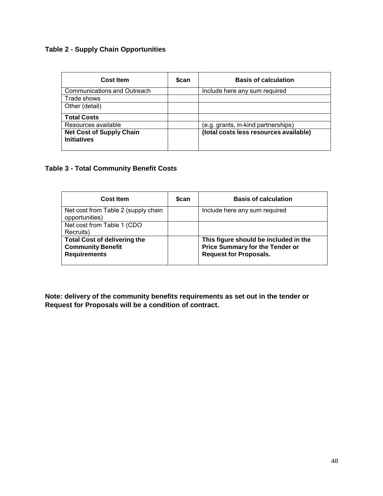# **Table 2 - Supply Chain Opportunities**

| Cost Item                                             | <b>Scan</b> | <b>Basis of calculation</b>            |
|-------------------------------------------------------|-------------|----------------------------------------|
| <b>Communications and Outreach</b>                    |             | Include here any sum required          |
| Trade shows                                           |             |                                        |
| Other (detail)                                        |             |                                        |
| <b>Total Costs</b>                                    |             |                                        |
| Resources available                                   |             | (e.g. grants, in-kind partnerships)    |
| <b>Net Cost of Supply Chain</b><br><b>Initiatives</b> |             | (total costs less resources available) |

#### **Table 3 - Total Community Benefit Costs**

| <b>Cost Item</b>                                                                       | <b>Scan</b> | <b>Basis of calculation</b>                                                                                      |
|----------------------------------------------------------------------------------------|-------------|------------------------------------------------------------------------------------------------------------------|
| Net cost from Table 2 (supply chain<br>opportunities)                                  |             | Include here any sum required                                                                                    |
| Net cost from Table 1 (CDO<br>Recruits)                                                |             |                                                                                                                  |
| <b>Total Cost of delivering the</b><br><b>Community Benefit</b><br><b>Requirements</b> |             | This figure should be included in the<br><b>Price Summary for the Tender or</b><br><b>Request for Proposals.</b> |

**Note: delivery of the community benefits requirements as set out in the tender or Request for Proposals will be a condition of contract.**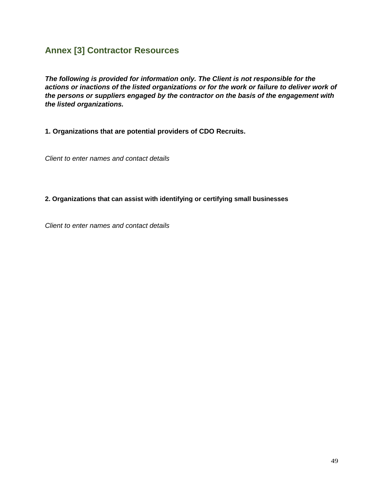# **Annex [3] Contractor Resources**

*The following is provided for information only. The Client is not responsible for the actions or inactions of the listed organizations or for the work or failure to deliver work of the persons or suppliers engaged by the contractor on the basis of the engagement with the listed organizations.*

**1. Organizations that are potential providers of CDO Recruits.**

*Client to enter names and contact details*

**2. Organizations that can assist with identifying or certifying small businesses**

*Client to enter names and contact details*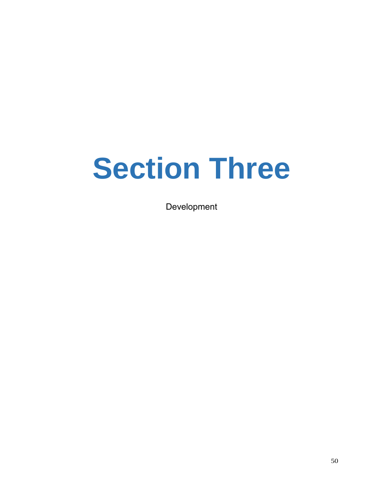# **Section Three**

Development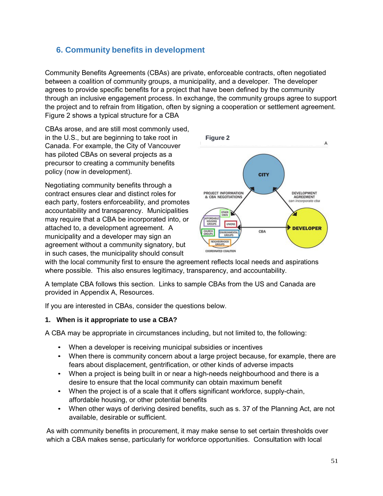# **6. Community benefits in development**

Community Benefits Agreements (CBAs) are private, enforceable contracts, often negotiated between a coalition of community groups, a municipality, and a developer. The developer agrees to provide specific benefits for a project that have been defined by the community through an inclusive engagement process. In exchange, the community groups agree to support the project and to refrain from litigation, often by signing a cooperation or settlement agreement. Figure 2 shows a typical structure for a CBA

CBAs arose, and are still most commonly used, in the U.S., but are beginning to take root in Canada. For example, the City of Vancouver has piloted CBAs on several projects as a precursor to creating a community benefits policy (now in development).

Negotiating community benefits through a contract ensures clear and distinct roles for each party, fosters enforceability, and promotes accountability and transparency. Municipalities may require that a CBA be incorporated into, or attached to, a development agreement. A municipality and a developer may sign an agreement without a community signatory, but in such cases, the municipality should consult



with the local community first to ensure the agreement reflects local needs and aspirations where possible. This also ensures legitimacy, transparency, and accountability.

A template CBA follows this section. Links to sample CBAs from the US and Canada are provided in Appendix A, Resources.

If you are interested in CBAs, consider the questions below.

# **1. When is it appropriate to use a CBA?**

A CBA may be appropriate in circumstances including, but not limited to, the following:

- When a developer is receiving municipal subsidies or incentives
- When there is community concern about a large project because, for example, there are fears about displacement, gentrification, or other kinds of adverse impacts
- When a project is being built in or near a high-needs neighbourhood and there is a desire to ensure that the local community can obtain maximum benefit
- When the project is of a scale that it offers significant workforce, supply-chain, affordable housing, or other potential benefits
- When other ways of deriving desired benefits, such as s. 37 of the Planning Act, are not available, desirable or sufficient.

As with community benefits in procurement, it may make sense to set certain thresholds over which a CBA makes sense, particularly for workforce opportunities. Consultation with local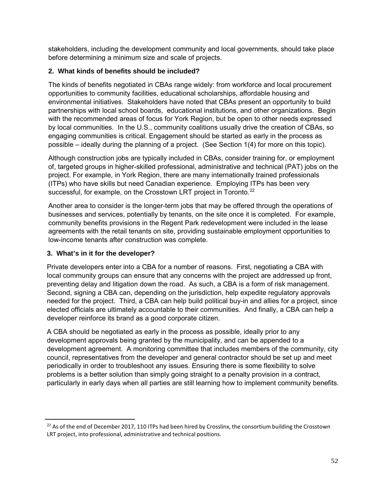stakeholders, including the development community and local governments, should take place before determining a minimum size and scale of projects.

### **2. What kinds of benefits should be included?**

The kinds of benefits negotiated in CBAs range widely: from workforce and local procurement opportunities to community facilities, educational scholarships, affordable housing and environmental initiatives. Stakeholders have noted that CBAs present an opportunity to build partnerships with local school boards, educational institutions, and other organizations. Begin with the recommended areas of focus for York Region, but be open to other needs expressed by local communities. In the U.S., community coalitions usually drive the creation of CBAs, so engaging communities is critical. Engagement should be started as early in the process as possible – ideally during the planning of a project. (See Section 1(4) for more on this topic).

Although construction jobs are typically included in CBAs, consider training for, or employment of, targeted groups in higher-skilled professional, administrative and technical (PAT) jobs on the project. For example, in York Region, there are many internationally trained professionals (ITPs) who have skills but need Canadian experience. Employing ITPs has been very successful, for example, on the Crosstown LRT project in Toronto.<sup>22</sup>

Another area to consider is the longer-term jobs that may be offered through the operations of businesses and services, potentially by tenants, on the site once it is completed. For example, community benefits provisions in the Regent Park redevelopment were included in the lease agreements with the retail tenants on site, providing sustainable employment opportunities to low-income tenants after construction was complete.

#### **3. What's in it for the developer?**

Private developers enter into a CBA for a number of reasons. First, negotiating a CBA with local community groups can ensure that any concerns with the project are addressed up front, preventing delay and litigation down the road. As such, a CBA is a form of risk management. Second, signing a CBA can, depending on the jurisdiction, help expedite regulatory approvals needed for the project. Third, a CBA can help build political buy-in and allies for a project, since elected officials are ultimately accountable to their communities. And finally, a CBA can help a developer reinforce its brand as a good corporate citizen.

A CBA should be negotiated as early in the process as possible, ideally prior to any development approvals being granted by the municipality, and can be appended to a development agreement. A monitoring committee that includes members of the community, city council, representatives from the developer and general contractor should be set up and meet periodically in order to troubleshoot any issues. Ensuring there is some flexibility to solve problems is a better solution than simply going straight to a penalty provision in a contract, particularly in early days when all parties are still learning how to implement community benefits.

 $22$  As of the end of December 2017, 110 ITPs had been hired by Crosslinx, the consortium building the Crosstown LRT project, into professional, administrative and technical positions.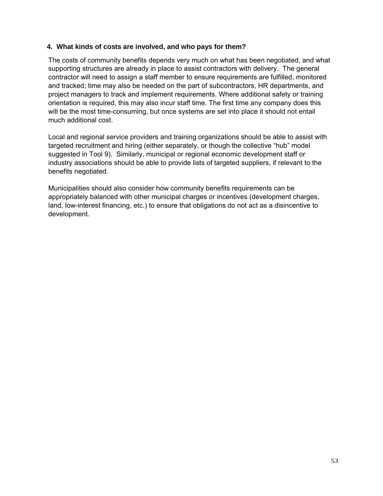#### **4. What kinds of costs are involved, and who pays for them?**

The costs of community benefits depends very much on what has been negotiated, and what supporting structures are already in place to assist contractors with delivery. The general contractor will need to assign a staff member to ensure requirements are fulfilled, monitored and tracked; time may also be needed on the part of subcontractors, HR departments, and project managers to track and implement requirements. Where additional safety or training orientation is required, this may also incur staff time. The first time any company does this will be the most time-consuming, but once systems are set into place it should not entail much additional cost.

Local and regional service providers and training organizations should be able to assist with targeted recruitment and hiring (either separately, or though the collective "hub" model suggested in Tool 9). Similarly, municipal or regional economic development staff or industry associations should be able to provide lists of targeted suppliers, if relevant to the benefits negotiated.

Municipalities should also consider how community benefits requirements can be appropriately balanced with other municipal charges or incentives (development charges, land, low-interest financing, etc.) to ensure that obligations do not act as a disincentive to development.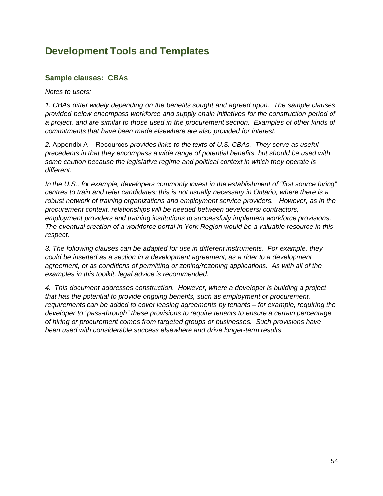# **Development Tools and Templates**

# **Sample clauses: CBAs**

*Notes to users:*

*1. CBAs differ widely depending on the benefits sought and agreed upon. The sample clauses provided below encompass workforce and supply chain initiatives for the construction period of a project, and are similar to those used in the procurement section. Examples of other kinds of commitments that have been made elsewhere are also provided for interest.*

*2.* Appendix A – Resources *provides links to the texts of U.S. CBAs. They serve as useful precedents in that they encompass a wide range of potential benefits, but should be used with some caution because the legislative regime and political context in which they operate is different.*

*In the U.S., for example, developers commonly invest in the establishment of "first source hiring" centres to train and refer candidates; this is not usually necessary in Ontario, where there is a robust network of training organizations and employment service providers. However, as in the procurement context, relationships will be needed between developers/ contractors, employment providers and training institutions to successfully implement workforce provisions. The eventual creation of a workforce portal in York Region would be a valuable resource in this respect.*

*3. The following clauses can be adapted for use in different instruments. For example, they could be inserted as a section in a development agreement, as a rider to a development agreement, or as conditions of permitting or zoning/rezoning applications. As with all of the examples in this toolkit, legal advice is recommended.*

*4. This document addresses construction. However, where a developer is building a project that has the potential to provide ongoing benefits, such as employment or procurement, requirements can be added to cover leasing agreements by tenants – for example, requiring the developer to "pass-through" these provisions to require tenants to ensure a certain percentage of hiring or procurement comes from targeted groups or businesses. Such provisions have been used with considerable success elsewhere and drive longer-term results.*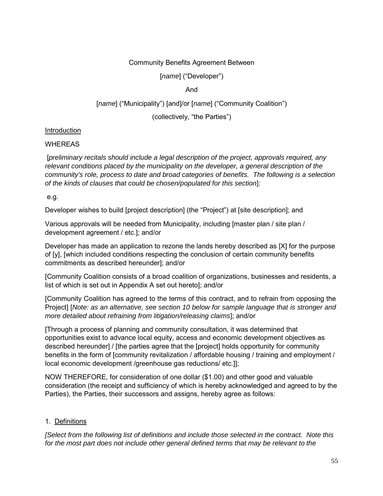#### Community Benefits Agreement Between

[*name*] ("Developer")

#### And

#### [*name*] ("Municipality") [and]/or [*name*] ("Community Coalition")

(collectively, "the Parties")

#### **Introduction**

#### **WHEREAS**

[*preliminary recitals should include a legal description of the project, approvals required, any relevant conditions placed by the municipality on the developer, a general description of the community's role, process to date and broad categories of benefits. The following is a selection of the kinds of clauses that could be chosen/populated for this section*]:

e.g.

Developer wishes to build [project description] (the "Project") at [site description]; and

Various approvals will be needed from Municipality, including [master plan / site plan / development agreement / etc.]; and/or

Developer has made an application to rezone the lands hereby described as [X] for the purpose of [y], [which included conditions respecting the conclusion of certain community benefits commitments as described hereunder]; and/or

[Community Coalition consists of a broad coalition of organizations, businesses and residents, a list of which is set out in Appendix A set out hereto]; and/or

[Community Coalition has agreed to the terms of this contract, and to refrain from opposing the Project] [*Note: as an alternative, see section 10 below for sample language that is stronger and more detailed about refraining from litigation/releasing claims*]; and/or

[Through a process of planning and community consultation, it was determined that opportunities exist to advance local equity, access and economic development objectives as described hereunder] / [the parties agree that the [project] holds opportunity for community benefits in the form of [community revitalization / affordable housing / training and employment / local economic development /greenhouse gas reductions/ etc.]];

NOW THEREFORE, for consideration of one dollar (\$1.00) and other good and valuable consideration (the receipt and sufficiency of which is hereby acknowledged and agreed to by the Parties), the Parties, their successors and assigns, hereby agree as follows:

#### 1. Definitions

*[Select from the following list of definitions and include those selected in the contract. Note this for the most part does not include other general defined terms that may be relevant to the*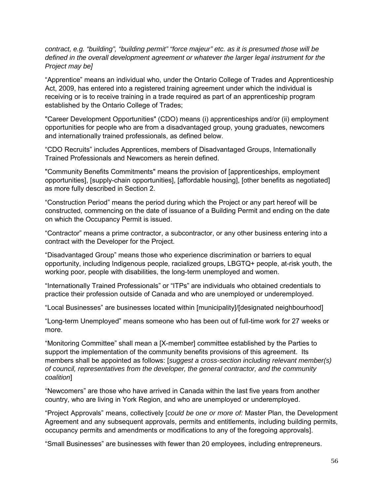*contract, e.g. "building", "building permit" "force majeur" etc. as it is presumed those will be defined in the overall development agreement or whatever the larger legal instrument for the Project may be]*

"Apprentice" means an individual who, under the Ontario College of Trades and Apprenticeship Act, 2009, has entered into a registered training agreement under which the individual is receiving or is to receive training in a trade required as part of an apprenticeship program established by the Ontario College of Trades;

"Career Development Opportunities" (CDO) means (i) apprenticeships and/or (ii) employment opportunities for people who are from a disadvantaged group, young graduates, newcomers and internationally trained professionals, as defined below.

"CDO Recruits" includes Apprentices, members of Disadvantaged Groups, Internationally Trained Professionals and Newcomers as herein defined.

"Community Benefits Commitments" means the provision of [apprenticeships, employment opportunities], [supply-chain opportunities], [affordable housing], [other benefits as negotiated] as more fully described in Section 2.

"Construction Period" means the period during which the Project or any part hereof will be constructed, commencing on the date of issuance of a Building Permit and ending on the date on which the Occupancy Permit is issued.

"Contractor" means a prime contractor, a subcontractor, or any other business entering into a contract with the Developer for the Project.

"Disadvantaged Group" means those who experience discrimination or barriers to equal opportunity, including Indigenous people, racialized groups, LBGTQ+ people, at-risk youth, the working poor, people with disabilities, the long-term unemployed and women.

"Internationally Trained Professionals" or "ITPs" are individuals who obtained credentials to practice their profession outside of Canada and who are unemployed or underemployed.

"Local Businesses" are businesses located within [municipality]/[designated neighbourhood]

"Long-term Unemployed" means someone who has been out of full-time work for 27 weeks or more.

"Monitoring Committee" shall mean a [X-member] committee established by the Parties to support the implementation of the community benefits provisions of this agreement. Its members shall be appointed as follows: [*suggest a cross-section including relevant member(s) of council, representatives from the developer, the general contractor, and the community coalition*]

"Newcomers" are those who have arrived in Canada within the last five years from another country, who are living in York Region, and who are unemployed or underemployed.

"Project Approvals" means, collectively [*could be one or more of:* Master Plan, the Development Agreement and any subsequent approvals, permits and entitlements, including building permits, occupancy permits and amendments or modifications to any of the foregoing approvals].

"Small Businesses" are businesses with fewer than 20 employees, including entrepreneurs.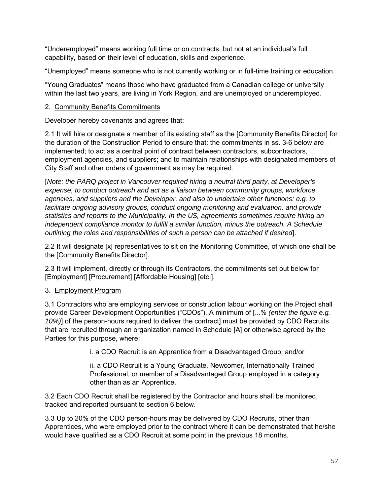"Underemployed" means working full time or on contracts, but not at an individual's full capability, based on their level of education, skills and experience.

"Unemployed" means someone who is not currently working or in full-time training or education.

"Young Graduates" means those who have graduated from a Canadian college or university within the last two years, are living in York Region, and are unemployed or underemployed.

# 2. Community Benefits Commitments

Developer hereby covenants and agrees that:

2.1 It will hire or designate a member of its existing staff as the [Community Benefits Director] for the duration of the Construction Period to ensure that: the commitments in ss. 3-6 below are implemented; to act as a central point of contract between contractors, subcontractors, employment agencies, and suppliers; and to maintain relationships with designated members of City Staff and other orders of government as may be required.

[*Note: the PARQ project in Vancouver required hiring a neutral third party, at Developer's expense, to conduct outreach and act as a liaison between community groups, workforce agencies, and suppliers and the Developer, and also to undertake other functions: e.g. to facilitate ongoing advisory groups, conduct ongoing monitoring and evaluation, and provide statistics and reports to the Municipality. In the US, agreements sometimes require hiring an independent compliance monitor to fulfill a similar function, minus the outreach. A Schedule outlining the roles and responsibilities of such a person can be attached if desired*].

2.2 It will designate [x] representatives to sit on the Monitoring Committee, of which one shall be the [Community Benefits Director].

2.3 It will implement, directly or through its Contractors, the commitments set out below for [Employment] [Procurement] [Affordable Housing] [etc.].

# 3. Employment Program

3.1 Contractors who are employing services or construction labour working on the Project shall provide Career Development Opportunities ("CDOs"). A minimum of [...% *(enter the figure e.g. 10%)*] of the person-hours required to deliver the contract] must be provided by CDO Recruits that are recruited through an organization named in Schedule [A] or otherwise agreed by the Parties for this purpose, where:

i. a CDO Recruit is an Apprentice from a Disadvantaged Group; and/or

ii. a CDO Recruit is a Young Graduate, Newcomer, Internationally Trained Professional, or member of a Disadvantaged Group employed in a category other than as an Apprentice.

3.2 Each CDO Recruit shall be registered by the Contractor and hours shall be monitored, tracked and reported pursuant to section 6 below.

3.3 Up to 20% of the CDO person-hours may be delivered by CDO Recruits, other than Apprentices, who were employed prior to the contract where it can be demonstrated that he/she would have qualified as a CDO Recruit at some point in the previous 18 months.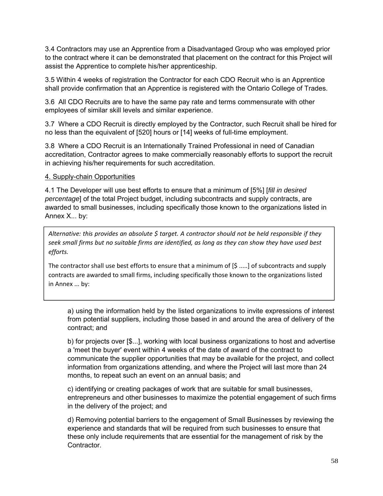3.4 Contractors may use an Apprentice from a Disadvantaged Group who was employed prior to the contract where it can be demonstrated that placement on the contract for this Project will assist the Apprentice to complete his/her apprenticeship.

3.5 Within 4 weeks of registration the Contractor for each CDO Recruit who is an Apprentice shall provide confirmation that an Apprentice is registered with the Ontario College of Trades.

3.6 All CDO Recruits are to have the same pay rate and terms commensurate with other employees of similar skill levels and similar experience.

3.7 Where a CDO Recruit is directly employed by the Contractor, such Recruit shall be hired for no less than the equivalent of [520] hours or [14] weeks of full-time employment.

3.8 Where a CDO Recruit is an Internationally Trained Professional in need of Canadian accreditation, Contractor agrees to make commercially reasonably efforts to support the recruit in achieving his/her requirements for such accreditation.

#### 4. Supply-chain Opportunities

4.1 The Developer will use best efforts to ensure that a minimum of [5%] [*fill in desired percentage*] of the total Project budget, including subcontracts and supply contracts, are awarded to small businesses, including specifically those known to the organizations listed in Annex X... by:

*Alternative: this provides an absolute \$ target. A contractor should not be held responsible if they* seek small firms but no suitable firms are identified, as long as they can show they have used best *efforts.*

The contractor shall use best efforts to ensure that a minimum of [\$ .....] of subcontracts and supply contracts are awarded to small firms, including specifically those known to the organizations listed in Annex ... by:

a) using the information held by the listed organizations to invite expressions of interest from potential suppliers, including those based in and around the area of delivery of the contract; and

b) for projects over [\$...], working with local business organizations to host and advertise a 'meet the buyer' event within 4 weeks of the date of award of the contract to communicate the supplier opportunities that may be available for the project, and collect information from organizations attending, and where the Project will last more than 24 months, to repeat such an event on an annual basis; and

c) identifying or creating packages of work that are suitable for small businesses, entrepreneurs and other businesses to maximize the potential engagement of such firms in the delivery of the project; and

d) Removing potential barriers to the engagement of Small Businesses by reviewing the experience and standards that will be required from such businesses to ensure that these only include requirements that are essential for the management of risk by the Contractor.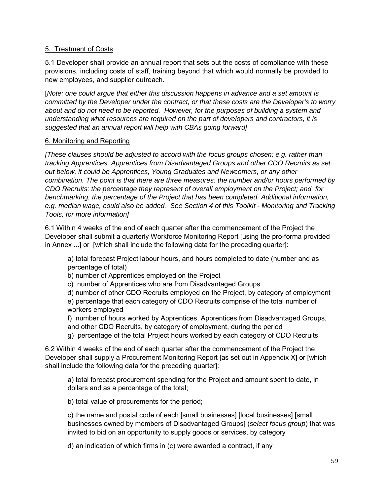# 5. Treatment of Costs

5.1 Developer shall provide an annual report that sets out the costs of compliance with these provisions, including costs of staff, training beyond that which would normally be provided to new employees, and supplier outreach.

[*Note: one could argue that either this discussion happens in advance and a set amount is committed by the Developer under the contract, or that these costs are the Developer's to worry about and do not need to be reported. However, for the purposes of building a system and understanding what resources are required on the part of developers and contractors, it is suggested that an annual report will help with CBAs going forward]*

#### 6. Monitoring and Reporting

*[These clauses should be adjusted to accord with the focus groups chosen; e.g. rather than tracking Apprentices, Apprentices from Disadvantaged Groups and other CDO Recruits as set out below, it could be Apprentices, Young Graduates and Newcomers, or any other combination. The point is that there are three measures: the number and/or hours performed by CDO Recruits; the percentage they represent of overall employment on the Project; and, for benchmarking, the percentage of the Project that has been completed. Additional information, e.g. median wage, could also be added. See Section 4 of this Toolkit - Monitoring and Tracking Tools, for more information]*

6.1 Within 4 weeks of the end of each quarter after the commencement of the Project the Developer shall submit a quarterly Workforce Monitoring Report [using the pro-forma provided in Annex ...] or [which shall include the following data for the preceding quarter]:

a) total forecast Project labour hours, and hours completed to date (number and as percentage of total)

b) number of Apprentices employed on the Project

c) number of Apprentices who are from Disadvantaged Groups

d) number of other CDO Recruits employed on the Project, by category of employment e) percentage that each category of CDO Recruits comprise of the total number of workers employed

f) number of hours worked by Apprentices, Apprentices from Disadvantaged Groups, and other CDO Recruits, by category of employment, during the period

g) percentage of the total Project hours worked by each category of CDO Recruits

6.2 Within 4 weeks of the end of each quarter after the commencement of the Project the Developer shall supply a Procurement Monitoring Report [as set out in Appendix X] or [which shall include the following data for the preceding quarter]:

a) total forecast procurement spending for the Project and amount spent to date, in dollars and as a percentage of the total;

b) total value of procurements for the period;

c) the name and postal code of each [small businesses] [local businesses] [small businesses owned by members of Disadvantaged Groups] (*select focus group*) that was invited to bid on an opportunity to supply goods or services, by category

d) an indication of which firms in (c) were awarded a contract, if any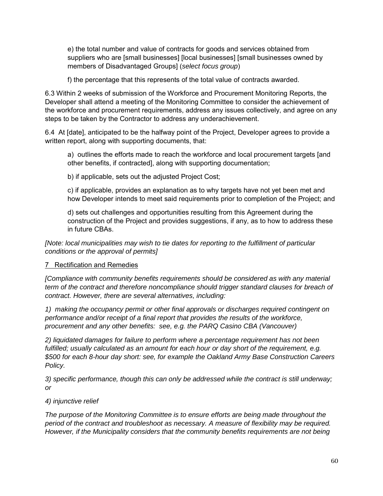e) the total number and value of contracts for goods and services obtained from suppliers who are [small businesses] [local businesses] [small businesses owned by members of Disadvantaged Groups] (*select focus group*)

f) the percentage that this represents of the total value of contracts awarded.

6.3 Within 2 weeks of submission of the Workforce and Procurement Monitoring Reports, the Developer shall attend a meeting of the Monitoring Committee to consider the achievement of the workforce and procurement requirements, address any issues collectively, and agree on any steps to be taken by the Contractor to address any underachievement.

6.4 At [date], anticipated to be the halfway point of the Project, Developer agrees to provide a written report, along with supporting documents, that:

a) outlines the efforts made to reach the workforce and local procurement targets [and other benefits, if contracted], along with supporting documentation;

b) if applicable, sets out the adjusted Project Cost;

c) if applicable, provides an explanation as to why targets have not yet been met and how Developer intends to meet said requirements prior to completion of the Project; and

d) sets out challenges and opportunities resulting from this Agreement during the construction of the Project and provides suggestions, if any, as to how to address these in future CBAs.

*[Note: local municipalities may wish to tie dates for reporting to the fulfillment of particular conditions or the approval of permits]*

#### 7 Rectification and Remedies

*[Compliance with community benefits requirements should be considered as with any material term of the contract and therefore noncompliance should trigger standard clauses for breach of contract. However, there are several alternatives, including:*

*1) making the occupancy permit or other final approvals or discharges required contingent on performance and/or receipt of a final report that provides the results of the workforce, procurement and any other benefits: see, e.g. the PARQ Casino CBA (Vancouver)*

*2) liquidated damages for failure to perform where a percentage requirement has not been fulfilled; usually calculated as an amount for each hour or day short of the requirement, e.g. \$500 for each 8-hour day short: see, for example the Oakland Army Base Construction Careers Policy.*

*3) specific performance, though this can only be addressed while the contract is still underway; or*

# *4) injunctive relief*

*The purpose of the Monitoring Committee is to ensure efforts are being made throughout the period of the contract and troubleshoot as necessary. A measure of flexibility may be required. However, if the Municipality considers that the community benefits requirements are not being*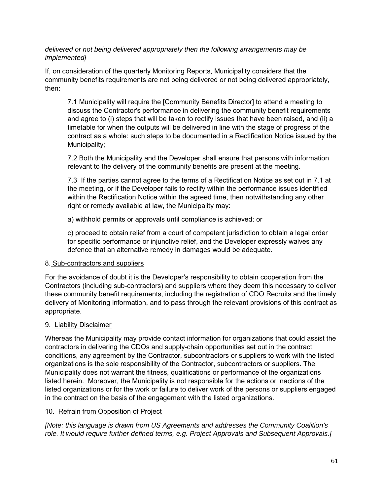*delivered or not being delivered appropriately then the following arrangements may be implemented]*

If, on consideration of the quarterly Monitoring Reports, Municipality considers that the community benefits requirements are not being delivered or not being delivered appropriately, then:

7.1 Municipality will require the [Community Benefits Director] to attend a meeting to discuss the Contractor's performance in delivering the community benefit requirements and agree to (i) steps that will be taken to rectify issues that have been raised, and (ii) a timetable for when the outputs will be delivered in line with the stage of progress of the contract as a whole: such steps to be documented in a Rectification Notice issued by the Municipality;

7.2 Both the Municipality and the Developer shall ensure that persons with information relevant to the delivery of the community benefits are present at the meeting.

7.3 If the parties cannot agree to the terms of a Rectification Notice as set out in 7.1 at the meeting, or if the Developer fails to rectify within the performance issues identified within the Rectification Notice within the agreed time, then notwithstanding any other right or remedy available at law, the Municipality may:

a) withhold permits or approvals until compliance is achieved; or

c) proceed to obtain relief from a court of competent jurisdiction to obtain a legal order for specific performance or injunctive relief, and the Developer expressly waives any defence that an alternative remedy in damages would be adequate.

# 8. Sub-contractors and suppliers

For the avoidance of doubt it is the Developer's responsibility to obtain cooperation from the Contractors (including sub-contractors) and suppliers where they deem this necessary to deliver these community benefit requirements, including the registration of CDO Recruits and the timely delivery of Monitoring information, and to pass through the relevant provisions of this contract as appropriate.

# 9. Liability Disclaimer

Whereas the Municipality may provide contact information for organizations that could assist the contractors in delivering the CDOs and supply-chain opportunities set out in the contract conditions, any agreement by the Contractor, subcontractors or suppliers to work with the listed organizations is the sole responsibility of the Contractor, subcontractors or suppliers. The Municipality does not warrant the fitness, qualifications or performance of the organizations listed herein. Moreover, the Municipality is not responsible for the actions or inactions of the listed organizations or for the work or failure to deliver work of the persons or suppliers engaged in the contract on the basis of the engagement with the listed organizations.

# 10. Refrain from Opposition of Project

*[Note: this language is drawn from US Agreements and addresses the Community Coalition's role. It would require further defined terms, e.g. Project Approvals and Subsequent Approvals.]*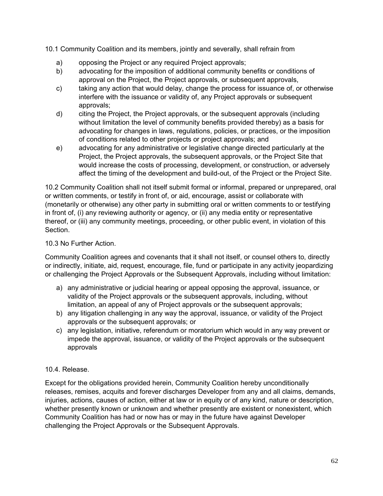10.1 Community Coalition and its members, jointly and severally, shall refrain from

- a) opposing the Project or any required Project approvals;
- b) advocating for the imposition of additional community benefits or conditions of approval on the Project, the Project approvals, or subsequent approvals,
- c) taking any action that would delay, change the process for issuance of, or otherwise interfere with the issuance or validity of, any Project approvals or subsequent approvals;
- d) citing the Project, the Project approvals, or the subsequent approvals (including without limitation the level of community benefits provided thereby) as a basis for advocating for changes in laws, regulations, policies, or practices, or the imposition of conditions related to other projects or project approvals; and
- e) advocating for any administrative or legislative change directed particularly at the Project, the Project approvals, the subsequent approvals, or the Project Site that would increase the costs of processing, development, or construction, or adversely affect the timing of the development and build-out, of the Project or the Project Site.

10.2 Community Coalition shall not itself submit formal or informal, prepared or unprepared, oral or written comments, or testify in front of, or aid, encourage, assist or collaborate with (monetarily or otherwise) any other party in submitting oral or written comments to or testifying in front of, (i) any reviewing authority or agency, or (ii) any media entity or representative thereof, or (iii) any community meetings, proceeding, or other public event, in violation of this Section.

# 10.3 No Further Action.

Community Coalition agrees and covenants that it shall not itself, or counsel others to, directly or indirectly, initiate, aid, request, encourage, file, fund or participate in any activity jeopardizing or challenging the Project Approvals or the Subsequent Approvals, including without limitation:

- a) any administrative or judicial hearing or appeal opposing the approval, issuance, or validity of the Project approvals or the subsequent approvals, including, without limitation, an appeal of any of Project approvals or the subsequent approvals;
- b) any litigation challenging in any way the approval, issuance, or validity of the Project approvals or the subsequent approvals; or
- c) any legislation, initiative, referendum or moratorium which would in any way prevent or impede the approval, issuance, or validity of the Project approvals or the subsequent approvals

# 10.4. Release.

Except for the obligations provided herein, Community Coalition hereby unconditionally releases, remises, acquits and forever discharges Developer from any and all claims, demands, injuries, actions, causes of action, either at law or in equity or of any kind, nature or description, whether presently known or unknown and whether presently are existent or nonexistent, which Community Coalition has had or now has or may in the future have against Developer challenging the Project Approvals or the Subsequent Approvals.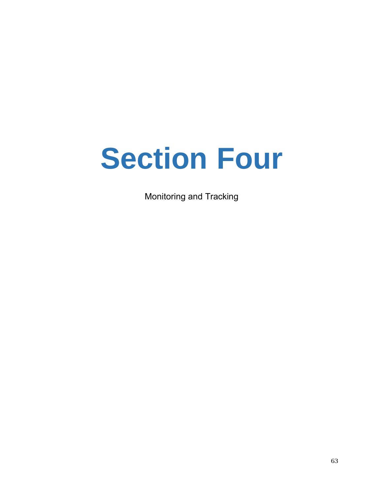# **Section Four**

Monitoring and Tracking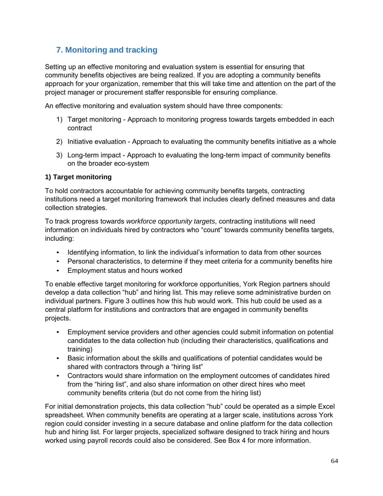# **7. Monitoring and tracking**

Setting up an effective monitoring and evaluation system is essential for ensuring that community benefits objectives are being realized. If you are adopting a community benefits approach for your organization, remember that this will take time and attention on the part of the project manager or procurement staffer responsible for ensuring compliance.

An effective monitoring and evaluation system should have three components:

- 1) Target monitoring Approach to monitoring progress towards targets embedded in each contract
- 2) Initiative evaluation Approach to evaluating the community benefits initiative as a whole
- 3) Long-term impact Approach to evaluating the long-term impact of community benefits on the broader eco-system

#### **1) Target monitoring**

To hold contractors accountable for achieving community benefits targets, contracting institutions need a target monitoring framework that includes clearly defined measures and data collection strategies.

To track progress towards *workforce opportunity targets*, contracting institutions will need information on individuals hired by contractors who "count" towards community benefits targets, including:

- Identifying information, to link the individual's information to data from other sources
- Personal characteristics, to determine if they meet criteria for a community benefits hire
- Employment status and hours worked

To enable effective target monitoring for workforce opportunities, York Region partners should develop a data collection "hub" and hiring list. This may relieve some administrative burden on individual partners. Figure 3 outlines how this hub would work. This hub could be used as a central platform for institutions and contractors that are engaged in community benefits projects.

- Employment service providers and other agencies could submit information on potential candidates to the data collection hub (including their characteristics, qualifications and training)
- Basic information about the skills and qualifications of potential candidates would be shared with contractors through a "hiring list"
- Contractors would share information on the employment outcomes of candidates hired from the "hiring list", and also share information on other direct hires who meet community benefits criteria (but do not come from the hiring list)

For initial demonstration projects, this data collection "hub" could be operated as a simple Excel spreadsheet. When community benefits are operating at a larger scale, institutions across York region could consider investing in a secure database and online platform for the data collection hub and hiring list. For larger projects, specialized software designed to track hiring and hours worked using payroll records could also be considered. See Box 4 for more information.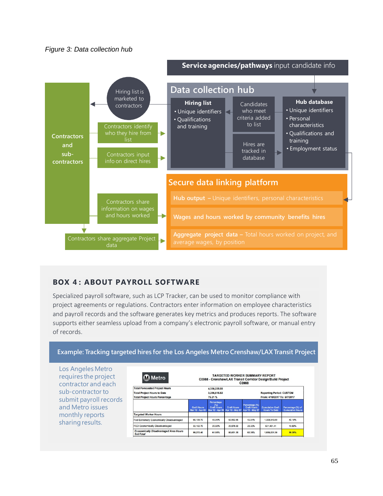



# **BOX 4: ABOUT PAYROLL SOFTWARE**

Specialized payroll software, such as LCP Tracker, can be used to monitor compliance with project agreements or regulations. Contractors enter information on employee characteristics and payroll records and the software generates key metrics and produces reports. The software supports either seamless upload from a company's electronic payroll software, or manual entry of records.

#### **Example: Tracking targeted hires for the Los Angeles Metro Crenshaw/LAX Transit Project**

| Los Angeles Metro<br>requires the project<br>contractor and each | <b>M</b> Metro                                                                                                                                                 |                                       |                                         | <b>TARGETED WORKER SUMMARY REPORT</b>                           | C0988                                                   | C0988 - Crenshaw/LAX Transit Corridor Design/Build Project |                                              |
|------------------------------------------------------------------|----------------------------------------------------------------------------------------------------------------------------------------------------------------|---------------------------------------|-----------------------------------------|-----------------------------------------------------------------|---------------------------------------------------------|------------------------------------------------------------|----------------------------------------------|
| sub-contractor to<br>submit payroll records<br>and Metro issues  | <b>Total Forecasted Project Hours</b><br>4,330,225.00<br><b>Total Project Hours to Date</b><br>3,256,615.82<br><b>Total Project Hours Percentage</b><br>75.21% |                                       |                                         | <b>Reporting Period: CUSTOM</b><br>From: 4/10/2017 To: 5/7/2017 |                                                         |                                                            |                                              |
|                                                                  |                                                                                                                                                                | <b>Craft Hours</b><br>Mar 12 - Apr 09 | Percentage<br>(%)<br><b>Craft Hours</b> | <b>Craft Hours</b><br>Mar 12 - Apr 09 Apr 10 - May 07           | Percentage (%)<br><b>Craft Hours</b><br>Apr 10 - May 07 | <b>Cumulative Craft</b><br><b>Hours To Date</b>            | Percentage (%) of<br><b>Cumulative Hours</b> |
| monthly reports                                                  | <b>Targeted Worker Hours</b>                                                                                                                                   |                                       |                                         |                                                                 |                                                         |                                                            |                                              |
| sharing results.                                                 | Fed Extremely Economically Disadvantaged                                                                                                                       | 66.109.70                             | 40.99%                                  | 53,952.85                                                       | 42.04%                                                  | 1,308,549.89                                               | 40.18%                                       |
|                                                                  | <b>FED Economically Disadvantaged</b>                                                                                                                          | 33, 162.70                            | 20.56%                                  | 26,078.50                                                       | 20.32%                                                  | 621,481.41                                                 | 19.08%                                       |
|                                                                  | <b>Economically Disadvantaged Area Hours</b><br><b>SubTotal</b>                                                                                                | 99.272.40                             | 61.55%                                  | 80.031.35                                                       | 62.35%                                                  | 1,930,031.30                                               | 59.26%                                       |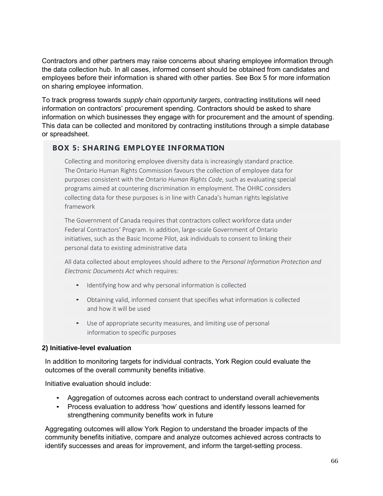Contractors and other partners may raise concerns about sharing employee information through the data collection hub. In all cases, informed consent should be obtained from candidates and employees before their information is shared with other parties. See Box 5 for more information on sharing employee information.

To track progress towards *supply chain opportunity targets*, contracting institutions will need information on contractors' procurement spending. Contractors should be asked to share information on which businesses they engage with for procurement and the amount of spending. This data can be collected and monitored by contracting institutions through a simple database or spreadsheet.

# **BOX 5: SHARING EMPLOYEE INFORMATION**

Collecting and monitoring employee diversity data is increasingly standard practice. The Ontario Human Rights Commission favours the collection of employee data for purposes consistent with the Ontario *Human Rights Code*, such as evaluating special programs aimed at countering discrimination in employment. The OHRC considers collecting data for these purposes is in line with Canada's human rights legislative framework

The Government of Canada requires that contractors collect workforce data under Federal Contractors' Program. In addition, large‐scale Government of Ontario initiatives, such as the Basic Income Pilot, ask individuals to consent to linking their personal data to existing administrative data

All data collected about employees should adhere to the *Personal Information Protection and Electronic Documents Act* which requires:

- Identifying how and why personal information is collected
- Obtaining valid, informed consent that specifies what information is collected and how it will be used
- Use of appropriate security measures, and limiting use of personal information to specific purposes

#### **2) Initiative-level evaluation**

In addition to monitoring targets for individual contracts, York Region could evaluate the outcomes of the overall community benefits initiative.

Initiative evaluation should include:

- Aggregation of outcomes across each contract to understand overall achievements
- Process evaluation to address 'how' questions and identify lessons learned for strengthening community benefits work in future

Aggregating outcomes will allow York Region to understand the broader impacts of the community benefits initiative, compare and analyze outcomes achieved across contracts to identify successes and areas for improvement, and inform the target-setting process.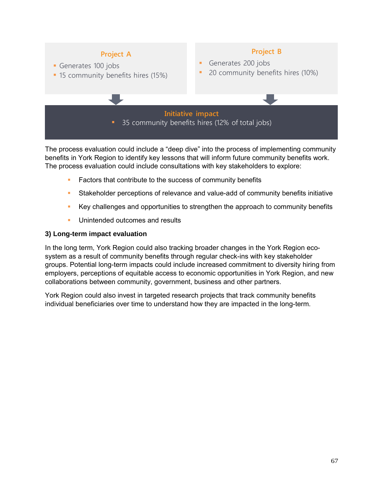

The process evaluation could include a "deep dive" into the process of implementing community benefits in York Region to identify key lessons that will inform future community benefits work. The process evaluation could include consultations with key stakeholders to explore:

- Factors that contribute to the success of community benefits
- Stakeholder perceptions of relevance and value-add of community benefits initiative
- **EXECT** Key challenges and opportunities to strengthen the approach to community benefits
- **Unintended outcomes and results**

#### **3) Long-term impact evaluation**

In the long term, York Region could also tracking broader changes in the York Region ecosystem as a result of community benefits through regular check-ins with key stakeholder groups. Potential long-term impacts could include increased commitment to diversity hiring from employers, perceptions of equitable access to economic opportunities in York Region, and new collaborations between community, government, business and other partners.

York Region could also invest in targeted research projects that track community benefits individual beneficiaries over time to understand how they are impacted in the long-term.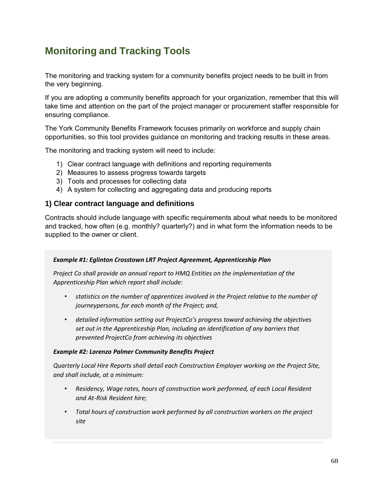# **Monitoring and Tracking Tools**

The monitoring and tracking system for a community benefits project needs to be built in from the very beginning.

If you are adopting a community benefits approach for your organization, remember that this will take time and attention on the part of the project manager or procurement staffer responsible for ensuring compliance.

The York Community Benefits Framework focuses primarily on workforce and supply chain opportunities, so this tool provides guidance on monitoring and tracking results in these areas.

The monitoring and tracking system will need to include:

- 1) Clear contract language with definitions and reporting requirements
- 2) Measures to assess progress towards targets
- 3) Tools and processes for collecting data
- 4) A system for collecting and aggregating data and producing reports

# **1) Clear contract language and definitions**

Contracts should include language with specific requirements about what needs to be monitored and tracked, how often (e.g. monthly? quarterly?) and in what form the information needs to be supplied to the owner or client.

#### *Example #1: Eglinton Crosstown LRT Project Agreement, Apprenticeship Plan*

*Project Co shall provide an annual report to HMQ Entities on the implementation of the Apprenticeship Plan which report shall include:*

- *statistics on the number of apprentices involved in the Project relative to the number of journeypersons, for each month of the Project; and,*
- *detailed information setting out ProjectCo's progress toward achieving the objectives set out in the Apprenticeship Plan, including an identification of any barriers that prevented ProjectCo from achieving its objectives*

#### *Example #2: Lorenzo Palmer Community Benefits Project*

*Quarterly Local Hire Reports shall detail each Construction Employer working on the Project Site, and shall include, at a minimum:*

- *Residency, Wage rates, hours of construction work performed, of each Local Resident and At‐Risk Resident hire;*
- *Total hours of construction work performed by all construction workers on the project site*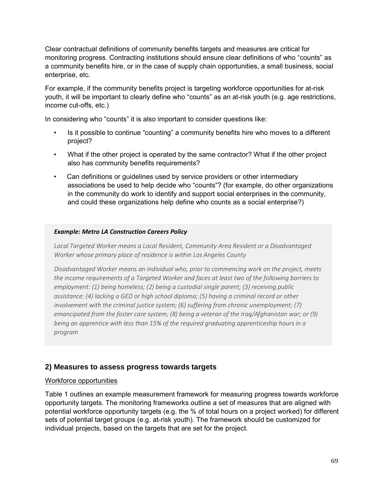Clear contractual definitions of community benefits targets and measures are critical for monitoring progress. Contracting institutions should ensure clear definitions of who "counts" as a community benefits hire, or in the case of supply chain opportunities, a small business, social enterprise, etc.

For example, if the community benefits project is targeting workforce opportunities for at-risk youth, it will be important to clearly define who "counts" as an at-risk youth (e.g. age restrictions, income cut-offs, etc.)

In considering who "counts" it is also important to consider questions like:

- Is it possible to continue "counting" a community benefits hire who moves to a different project?
- What if the other project is operated by the same contractor? What if the other project also has community benefits requirements?
- Can definitions or guidelines used by service providers or other intermediary associations be used to help decide who "counts"? (for example, do other organizations in the community do work to identify and support social enterprises in the community, and could these organizations help define who counts as a social enterprise?)

#### *Example: Metro LA Construction Careers Policy*

*Local Targeted Worker means a Local Resident, Community Area Resident or a Disadvantaged Worker whose primary place of residence is within Los Angeles County*

*Disadvantaged Worker means an individual who, prior to commencing work on the project, meets the income requirements of a Targeted Worker and faces at least two of the following barriers to employment: (1) being homeless; (2) being a custodial single parent; (3) receiving public assistance; (4) lacking a GED or high school diploma; (5) having a criminal record or other involvement with the criminal justice system; (6) suffering from chronic unemployment; (7) emancipated from the foster care system; (8) being a veteran of the Iraq/Afghanistan war; or (9) being an apprentice with less than 15% of the required graduating apprenticeship hours in a program*

# **2) Measures to assess progress towards targets**

#### Workforce opportunities

Table 1 outlines an example measurement framework for measuring progress towards workforce opportunity targets. The monitoring frameworks outline a set of measures that are aligned with potential workforce opportunity targets (e.g. the % of total hours on a project worked) for different sets of potential target groups (e.g. at-risk youth). The framework should be customized for individual projects, based on the targets that are set for the project.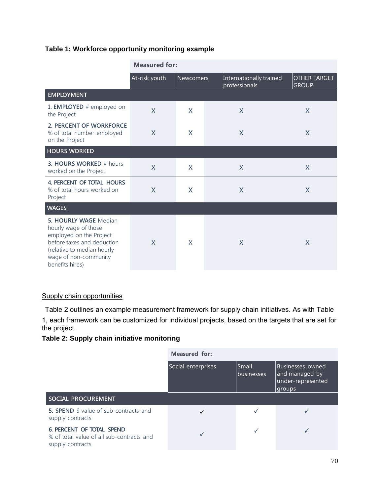# **Table 1: Workforce opportunity monitoring example**

|                                                                                                                                                                                  | <b>Measured for:</b>              |   |                                          |                                     |  |  |  |  |
|----------------------------------------------------------------------------------------------------------------------------------------------------------------------------------|-----------------------------------|---|------------------------------------------|-------------------------------------|--|--|--|--|
|                                                                                                                                                                                  | At-risk youth<br><b>Newcomers</b> |   | Internationally trained<br>professionals | <b>OTHER TARGET</b><br><b>GROUP</b> |  |  |  |  |
| <b>EMPLOYMENT</b>                                                                                                                                                                |                                   |   |                                          |                                     |  |  |  |  |
| 1. EMPLOYED # employed on<br>the Project                                                                                                                                         | $\sf X$                           | X | X                                        | X                                   |  |  |  |  |
| 2. PERCENT OF WORKFORCE<br>% of total number employed<br>on the Project                                                                                                          | X                                 | X | X                                        | X                                   |  |  |  |  |
| <b>HOURS WORKED</b>                                                                                                                                                              |                                   |   |                                          |                                     |  |  |  |  |
| 3. HOURS WORKED # hours<br>worked on the Project                                                                                                                                 | X                                 | X | X                                        | X                                   |  |  |  |  |
| 4. PERCENT OF TOTAL HOURS<br>% of total hours worked on<br>Project                                                                                                               | X                                 | X | X                                        | X                                   |  |  |  |  |
| <b>WAGES</b>                                                                                                                                                                     |                                   |   |                                          |                                     |  |  |  |  |
| 5. HOURLY WAGE Median<br>hourly wage of those<br>employed on the Project<br>before taxes and deduction<br>(relative to median hourly<br>wage of non-community<br>benefits hires) | X                                 | X | X                                        | X                                   |  |  |  |  |

# Supply chain opportunities

Table 2 outlines an example measurement framework for supply chain initiatives. As with Table

1, each framework can be customized for individual projects, based on the targets that are set for the project.

# **Table 2: Supply chain initiative monitoring**

|                                                                                            | <b>Measured for:</b> |                     |                                                                    |  |  |  |
|--------------------------------------------------------------------------------------------|----------------------|---------------------|--------------------------------------------------------------------|--|--|--|
|                                                                                            | Social enterprises   | Small<br>businesses | Businesses owned<br>and managed by<br>under-represented<br> groups |  |  |  |
| SOCIAL PROCUREMENT                                                                         |                      |                     |                                                                    |  |  |  |
| 5. SPEND \$ value of sub-contracts and<br>supply contracts                                 |                      |                     |                                                                    |  |  |  |
| 6. PERCENT OF TOTAL SPEND<br>% of total value of all sub-contracts and<br>supply contracts |                      |                     |                                                                    |  |  |  |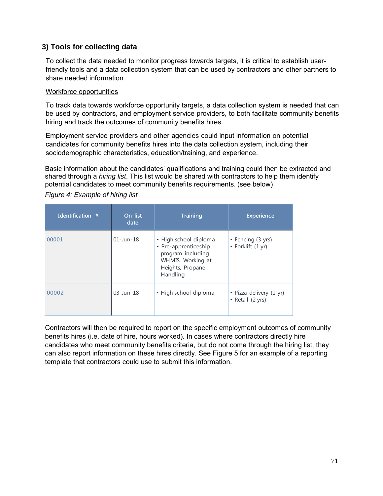# **3) Tools for collecting data**

To collect the data needed to monitor progress towards targets, it is critical to establish userfriendly tools and a data collection system that can be used by contractors and other partners to share needed information.

#### Workforce opportunities

To track data towards workforce opportunity targets, a data collection system is needed that can be used by contractors, and employment service providers, to both facilitate community benefits hiring and track the outcomes of community benefits hires.

Employment service providers and other agencies could input information on potential candidates for community benefits hires into the data collection system, including their sociodemographic characteristics, education/training, and experience.

Basic information about the candidates' qualifications and training could then be extracted and shared through a *hiring list*. This list would be shared with contractors to help them identify potential candidates to meet community benefits requirements. (see below)

| Identification # | On-list<br>date | <b>Training</b>                                                                                                         | <b>Experience</b>                           |
|------------------|-----------------|-------------------------------------------------------------------------------------------------------------------------|---------------------------------------------|
| 00001            | $01$ -Jun-18    | • High school diploma<br>• Pre-apprenticeship<br>program including<br>WHMIS, Working at<br>Heights, Propane<br>Handling | • Fencing (3 yrs)<br>• Forklift (1 yr)      |
| 00002            | $03 - Jun - 18$ | • High school diploma                                                                                                   | • Pizza delivery (1 yr)<br>• Retail (2 yrs) |

*Figure 4: Example of hiring list*

Contractors will then be required to report on the specific employment outcomes of community benefits hires (i.e. date of hire, hours worked). In cases where contractors directly hire candidates who meet community benefits criteria, but do not come through the hiring list, they can also report information on these hires directly. See Figure 5 for an example of a reporting template that contractors could use to submit this information.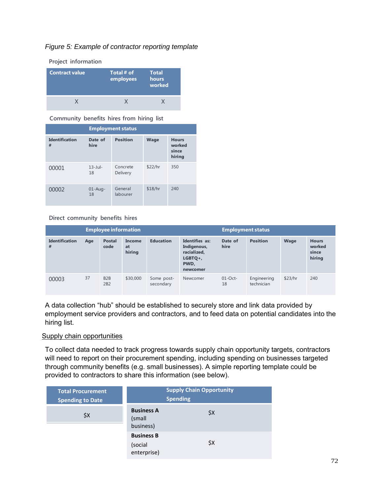### *Figure 5: Example of contractor reporting template*



**Community benefits hires from hiring list**

|                            | <b>Employment status</b> |                      |             |                                           |  |  |  |  |
|----------------------------|--------------------------|----------------------|-------------|-------------------------------------------|--|--|--|--|
| <b>Identification</b><br># | Date of<br>hire          | <b>Position</b>      | <b>Wage</b> | <b>Hours</b><br>worked<br>since<br>hiring |  |  |  |  |
| 00001                      | $13$ -Jul-<br>18         | Concrete<br>Delivery | \$22/hr     | 350                                       |  |  |  |  |
| 00002                      | $01$ -Aug-<br>18         | General<br>labourer  | \$18/hr     | 240                                       |  |  |  |  |

**Direct community benefits hires**

| <b>Employee information</b> |     |                         |                        | <b>Employment status</b> |                                                                                |                  |                           |         |                                           |
|-----------------------------|-----|-------------------------|------------------------|--------------------------|--------------------------------------------------------------------------------|------------------|---------------------------|---------|-------------------------------------------|
| <b>Identification</b><br>#  | Age | <b>Postal</b><br>code   | Income<br>at<br>hiring | <b>Education</b>         | Identifies as:<br>Indigenous,<br>racialized,<br>$LGBTO+$ ,<br>PWD.<br>newcomer | Date of<br>hire  | <b>Position</b>           | Wage    | <b>Hours</b><br>worked<br>since<br>hiring |
| 00003                       | 37  | B <sub>2</sub> B<br>2B2 | \$30,000               | Some post-<br>secondary  | Newcomer                                                                       | $01$ -Oct-<br>18 | Engineering<br>technician | \$23/hr | 240                                       |

A data collection "hub" should be established to securely store and link data provided by employment service providers and contractors, and to feed data on potential candidates into the hiring list.

#### Supply chain opportunities

To collect data needed to track progress towards supply chain opportunity targets, contractors will need to report on their procurement spending, including spending on businesses targeted through community benefits (e.g. small businesses). A simple reporting template could be provided to contractors to share this information (see below).

| <b>Total Procurement</b><br><b>Spending to Date</b> |                                             | <b>Supply Chain Opportunity</b><br><b>Spending</b> |
|-----------------------------------------------------|---------------------------------------------|----------------------------------------------------|
| \$X                                                 | <b>Business A</b><br>(small<br>business)    | \$X                                                |
|                                                     | <b>Business B</b><br>(social<br>enterprise) | \$X                                                |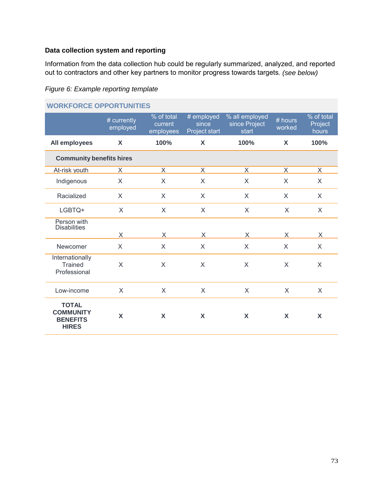### **Data collection system and reporting**

Information from the data collection hub could be regularly summarized, analyzed, and reported out to contractors and other key partners to monitor progress towards targets*. (see below)* 

#### *Figure 6: Example reporting template*

| WURKFURLE UPPURTUNITIES                                             |                         |                                    |                                      |                                          |                     |                                |  |
|---------------------------------------------------------------------|-------------------------|------------------------------------|--------------------------------------|------------------------------------------|---------------------|--------------------------------|--|
|                                                                     | # currently<br>employed | % of total<br>current<br>employees | # employed<br>since<br>Project start | % all employed<br>since Project<br>start | $#$ hours<br>worked | % of total<br>Project<br>hours |  |
| All employees                                                       | X                       | 100%                               | X                                    | 100%                                     | X                   | 100%                           |  |
| <b>Community benefits hires</b>                                     |                         |                                    |                                      |                                          |                     |                                |  |
| At-risk youth                                                       | X.                      | X                                  | X                                    | X                                        | X                   | X                              |  |
| Indigenous                                                          | $\times$                | X                                  | $\sf X$                              | $\times$                                 | $\times$            | $\times$                       |  |
| Racialized                                                          | $\mathsf{X}$            | X                                  | X                                    | $\mathsf{X}$                             | $\mathsf{X}$        | $\sf X$                        |  |
| LGBTQ+                                                              | $\times$                | $\sf X$                            | $\sf X$                              | $\sf X$                                  | $\times$            | $\times$                       |  |
| Person with<br><b>Disabilities</b>                                  |                         |                                    |                                      |                                          |                     |                                |  |
|                                                                     | X                       | X                                  | X                                    | X                                        | X                   | X                              |  |
| Newcomer                                                            | $\times$                | X                                  | $\times$                             | $\times$                                 | $\sf X$             | X                              |  |
| Internationally<br><b>Trained</b><br>Professional                   | $\times$                | $\times$                           | $\times$                             | X                                        | $\times$            | X                              |  |
| Low-income                                                          | X                       | X                                  | X                                    | X                                        | X                   | X                              |  |
| <b>TOTAL</b><br><b>COMMUNITY</b><br><b>BENEFITS</b><br><b>HIRES</b> | X                       | X                                  | X                                    | X                                        | X                   | X                              |  |

## **WORKFORCE OPPORTUNITIES**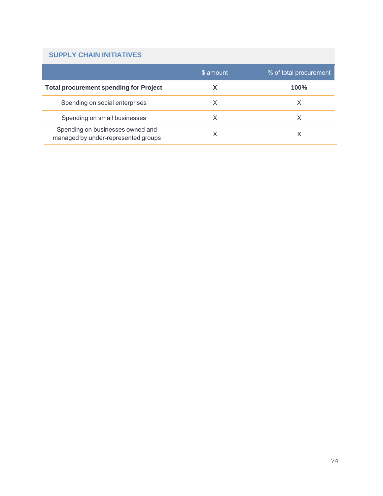### **SUPPLY CHAIN INITIATIVES**

|                                                                         | \$ amount | % of total procurement |
|-------------------------------------------------------------------------|-----------|------------------------|
| <b>Total procurement spending for Project</b>                           |           | $100\%$                |
| Spending on social enterprises                                          | х         |                        |
| Spending on small businesses                                            | х         |                        |
| Spending on businesses owned and<br>managed by under-represented groups |           |                        |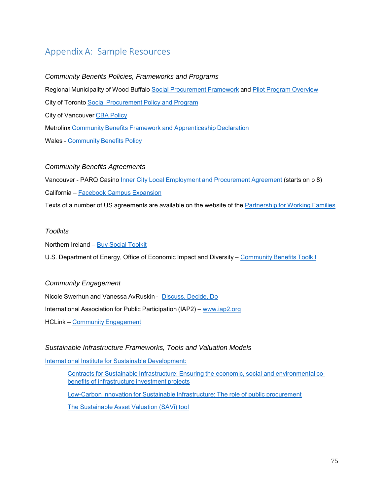## Appendix A: Sample Resources

#### *Community Benefits Policies, Frameworks and Programs*

Regional Municipality of Wood Buffalo Social Procurement Framework and Pilot Program Overview

City of Toronto Social Procurement Policy and Program

City of Vancouver CBA Policy

Metrolinx Community Benefits Framework and Apprenticeship Declaration

Wales - Community Benefits Policy

#### *Community Benefits Agreements*

Vancouver - PARQ Casino Inner City Local Employment and Procurement Agreement (starts on p 8) California – Facebook Campus Expansion

Texts of a number of US agreements are available on the website of the Partnership for Working Families

#### *Toolkits*

Northern Ireland – Buy Social Toolkit

U.S. Department of Energy, Office of Economic Impact and Diversity – Community Benefits Toolkit

#### *Community Engagement*

Nicole Swerhun and Vanessa AvRuskin - Discuss, Decide, Do International Association for Public Participation (IAP2) – www.iap2.org HCLink – Community Engagement

#### *Sustainable Infrastructure Frameworks, Tools and Valuation Models*

International Institute for Sustainable Development:

Contracts for Sustainable Infrastructure: Ensuring the economic, social and environmental cobenefits of infrastructure investment projects

Low-Carbon Innovation for Sustainable Infrastructure: The role of public procurement

The Sustainable Asset Valuation (SAVi) tool